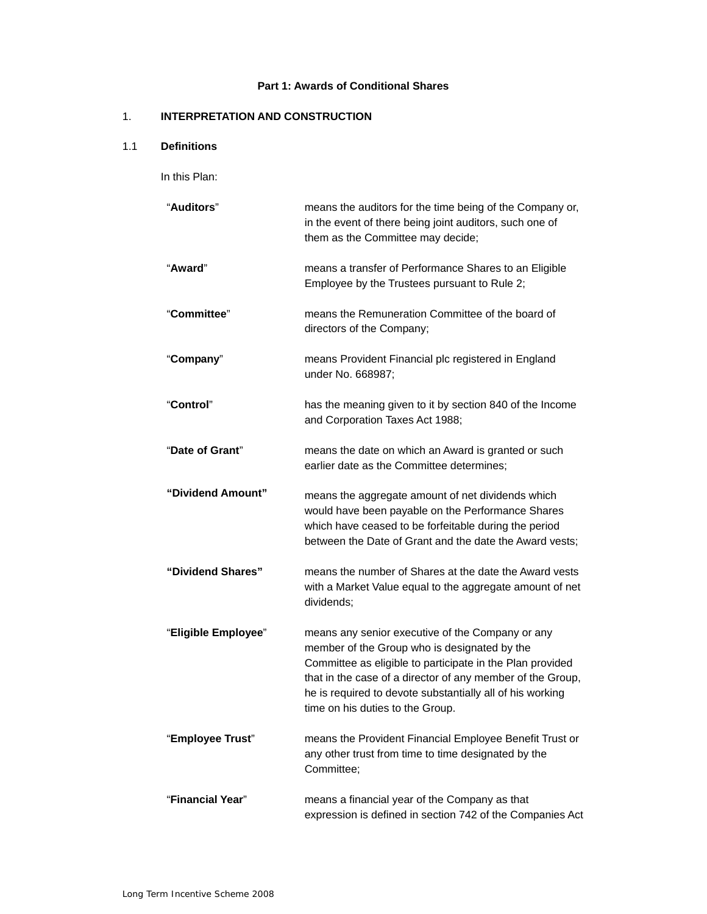### **Part 1: Awards of Conditional Shares**

## 1. **INTERPRETATION AND CONSTRUCTION**

## 1.1 **Definitions**

In this Plan:

| "Auditors"          | means the auditors for the time being of the Company or,<br>in the event of there being joint auditors, such one of<br>them as the Committee may decide;                                                                                                                                                                     |
|---------------------|------------------------------------------------------------------------------------------------------------------------------------------------------------------------------------------------------------------------------------------------------------------------------------------------------------------------------|
| "Award"             | means a transfer of Performance Shares to an Eligible<br>Employee by the Trustees pursuant to Rule 2;                                                                                                                                                                                                                        |
| "Committee"         | means the Remuneration Committee of the board of<br>directors of the Company;                                                                                                                                                                                                                                                |
| "Company"           | means Provident Financial plc registered in England<br>under No. 668987;                                                                                                                                                                                                                                                     |
| "Control"           | has the meaning given to it by section 840 of the Income<br>and Corporation Taxes Act 1988;                                                                                                                                                                                                                                  |
| "Date of Grant"     | means the date on which an Award is granted or such<br>earlier date as the Committee determines;                                                                                                                                                                                                                             |
| "Dividend Amount"   | means the aggregate amount of net dividends which<br>would have been payable on the Performance Shares<br>which have ceased to be forfeitable during the period<br>between the Date of Grant and the date the Award vests;                                                                                                   |
| "Dividend Shares"   | means the number of Shares at the date the Award vests<br>with a Market Value equal to the aggregate amount of net<br>dividends;                                                                                                                                                                                             |
| "Eligible Employee" | means any senior executive of the Company or any<br>member of the Group who is designated by the<br>Committee as eligible to participate in the Plan provided<br>that in the case of a director of any member of the Group,<br>he is required to devote substantially all of his working<br>time on his duties to the Group. |
| "Employee Trust"    | means the Provident Financial Employee Benefit Trust or<br>any other trust from time to time designated by the<br>Committee;                                                                                                                                                                                                 |
| "Financial Year"    | means a financial year of the Company as that<br>expression is defined in section 742 of the Companies Act                                                                                                                                                                                                                   |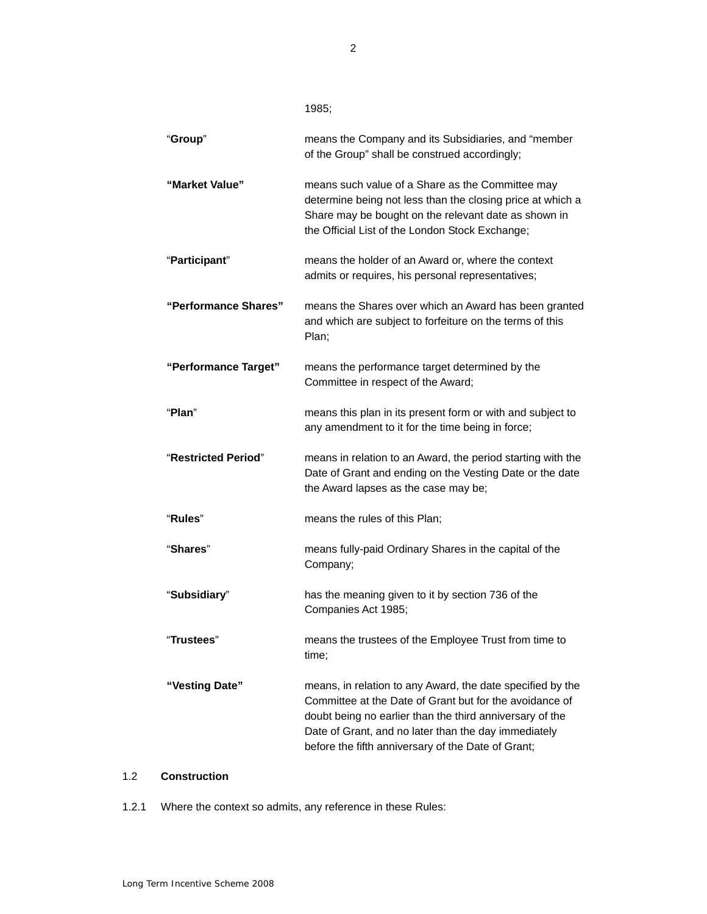| "Group"              | means the Company and its Subsidiaries, and "member<br>of the Group" shall be construed accordingly;                                                                                                                                                                                            |
|----------------------|-------------------------------------------------------------------------------------------------------------------------------------------------------------------------------------------------------------------------------------------------------------------------------------------------|
| "Market Value"       | means such value of a Share as the Committee may<br>determine being not less than the closing price at which a<br>Share may be bought on the relevant date as shown in<br>the Official List of the London Stock Exchange;                                                                       |
| "Participant"        | means the holder of an Award or, where the context<br>admits or requires, his personal representatives;                                                                                                                                                                                         |
| "Performance Shares" | means the Shares over which an Award has been granted<br>and which are subject to forfeiture on the terms of this<br>Plan;                                                                                                                                                                      |
| "Performance Target" | means the performance target determined by the<br>Committee in respect of the Award;                                                                                                                                                                                                            |
| "Plan"               | means this plan in its present form or with and subject to<br>any amendment to it for the time being in force;                                                                                                                                                                                  |
| "Restricted Period"  | means in relation to an Award, the period starting with the<br>Date of Grant and ending on the Vesting Date or the date<br>the Award lapses as the case may be;                                                                                                                                 |
| "Rules"              | means the rules of this Plan;                                                                                                                                                                                                                                                                   |
| "Shares"             | means fully-paid Ordinary Shares in the capital of the<br>Company;                                                                                                                                                                                                                              |
| "Subsidiary"         | has the meaning given to it by section 736 of the<br>Companies Act 1985;                                                                                                                                                                                                                        |
| "Trustees"           | means the trustees of the Employee Trust from time to<br>time;                                                                                                                                                                                                                                  |
| "Vesting Date"       | means, in relation to any Award, the date specified by the<br>Committee at the Date of Grant but for the avoidance of<br>doubt being no earlier than the third anniversary of the<br>Date of Grant, and no later than the day immediately<br>before the fifth anniversary of the Date of Grant; |

# 1.2 **Construction**

1.2.1 Where the context so admits, any reference in these Rules:

2

1985;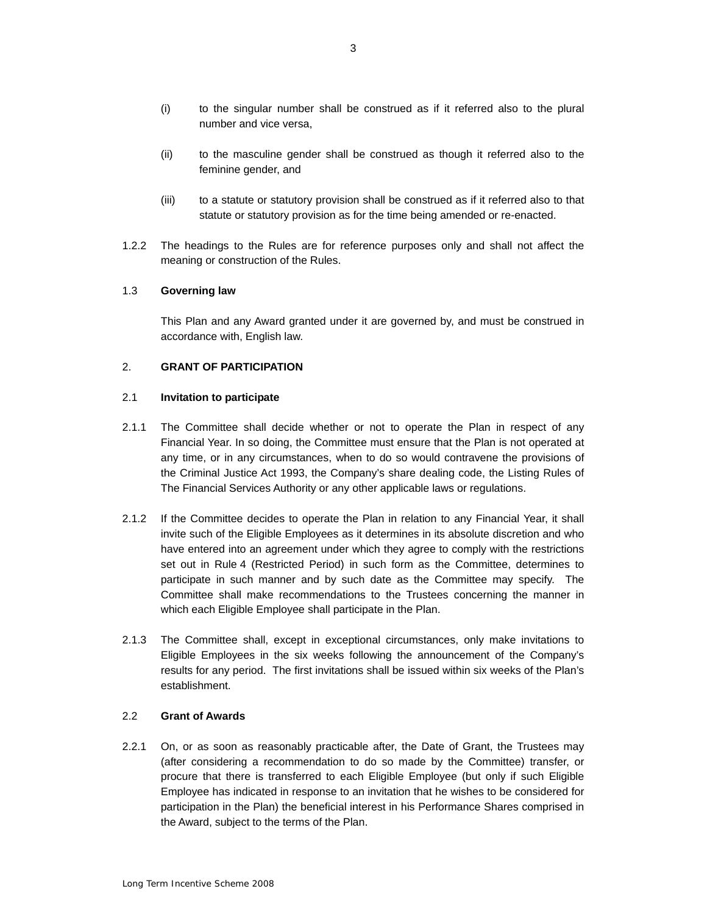- (i) to the singular number shall be construed as if it referred also to the plural number and vice versa,
- (ii) to the masculine gender shall be construed as though it referred also to the feminine gender, and
- (iii) to a statute or statutory provision shall be construed as if it referred also to that statute or statutory provision as for the time being amended or re-enacted.
- $1.2.2$ The headings to the Rules are for reference purposes only and shall not affect the meaning or construction of the Rules.

### 1.3 **Governing law**

 This Plan and any Award granted under it are governed by, and must be construed in accordance with, English law.

### 2. **GRANT OF PARTICIPATION**

### 2.1 **Invitation to participate**

- $2.1.1$  Financial Year. In so doing, the Committee must ensure that the Plan is not operated at any time, or in any circumstances, when to do so would contravene the provisions of the Criminal Justice Act 1993, the Company's share dealing code, the Listing Rules of The Committee shall decide whether or not to operate the Plan in respect of any The Financial Services Authority or any other applicable laws or regulations.
- invite such of the Eligible Employees as it determines in its absolute discretion and who have entered into an agreement under which they agree to comply with the restrictions set out in Rule 4 (Restricted Period) in such form as the Committee, determines to participate in such manner and by such date as the Committee may specify. The Committee shall make recommendations to the Trustees concerning the manner in 2.1.2 If the Committee decides to operate the Plan in relation to any Financial Year, it shall which each Eligible Employee shall participate in the Plan.
- 2.1.3 The Committee shall, except in exceptional circumstances, only make invitations to results for any period. The first invitations shall be issued within six weeks of the Plan's Eligible Employees in the six weeks following the announcement of the Company's establishment.

### 2.2 **Grant of Awards**

 $2.2.1$  procure that there is transferred to each Eligible Employee (but only if such Eligible participation in the Plan) the beneficial interest in his Performance Shares comprised in On, or as soon as reasonably practicable after, the Date of Grant, the Trustees may (after considering a recommendation to do so made by the Committee) transfer, or Employee has indicated in response to an invitation that he wishes to be considered for the Award, subject to the terms of the Plan.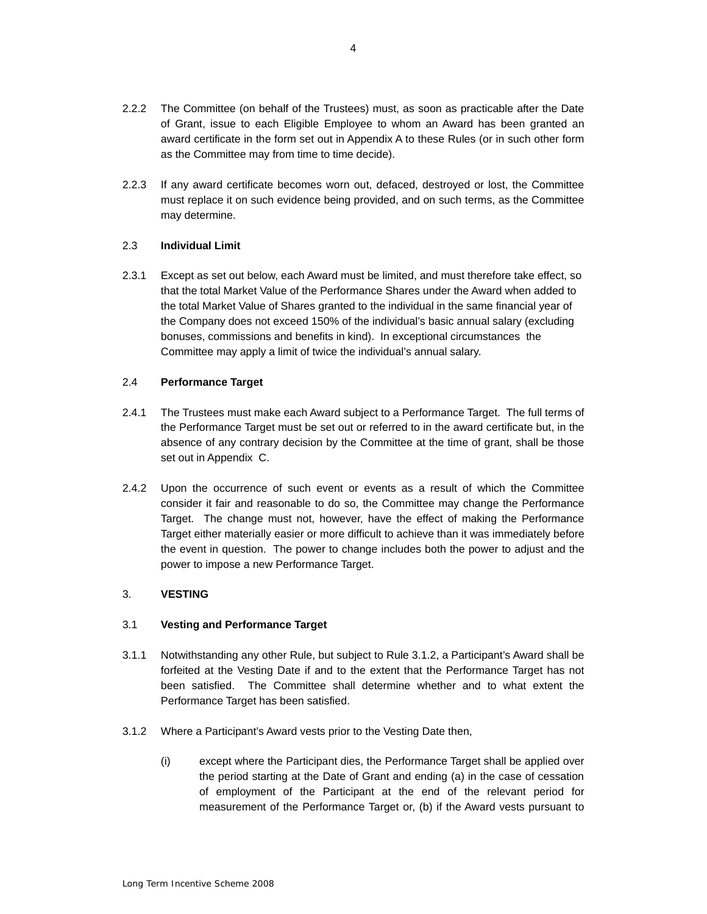- of Grant, issue to each Eligible Employee to whom an Award has been granted an 2.2.2 The Committee (on behalf of the Trustees) must, as soon as practicable after the Date award certificate in the form set out in Appendix A to these Rules (or in such other form as the Committee may from time to time decide).
- 2.2.3 If any award certificate becomes worn out, defaced, destroyed or lost, the Committee must replace it on such evidence being provided, and on such terms, as the Committee may determine.

### 2.3 **Individual Limit**

 that the total Market Value of the Performance Shares under the Award when added to the total Market Value of Shares granted to the individual in the same financial year of the Company does not exceed 150% of the individual's basic annual salary (excluding Committee may apply a limit of twice the individual's annual salary. 2.3.1 Except as set out below, each Award must be limited, and must therefore take effect, so bonuses, commissions and benefits in kind). In exceptional circumstances the

## 2.4 **Performance Target**

- the Performance Target must be set out or referred to in the award certificate but, in the absence of any contrary decision by the Committee at the time of grant, shall be those 2.4.1 The Trustees must make each Award subject to a Performance Target. The full terms of set out in Appendix C.
- 2.4.2 Upon the occurrence of such event or events as a result of which the Committee consider it fair and reasonable to do so, the Committee may change the Performance Target either materially easier or more difficult to achieve than it was immediately before the event in question. The power to change includes both the power to adjust and the Target. The change must not, however, have the effect of making the Performance power to impose a new Performance Target.

## 3. **VESTING**

## 3.1 **Vesting and Performance Target**

- 3.1.1 Notwithstanding any other Rule, but subject to Rule 3.1.2, a Participant's Award shall be been satisfied. The Committee shall determine whether and to what extent the Performance Target has been satisfied. forfeited at the Vesting Date if and to the extent that the Performance Target has not
- 3.1.2 Where a Participant's Award vests prior to the Vesting Date then,
	- (i) except where the Participant dies, the Performance Target shall be applied over the period starting at the Date of Grant and ending (a) in the case of cessation of employment of the Participant at the end of the relevant period for measurement of the Performance Target or, (b) if the Award vests pursuant to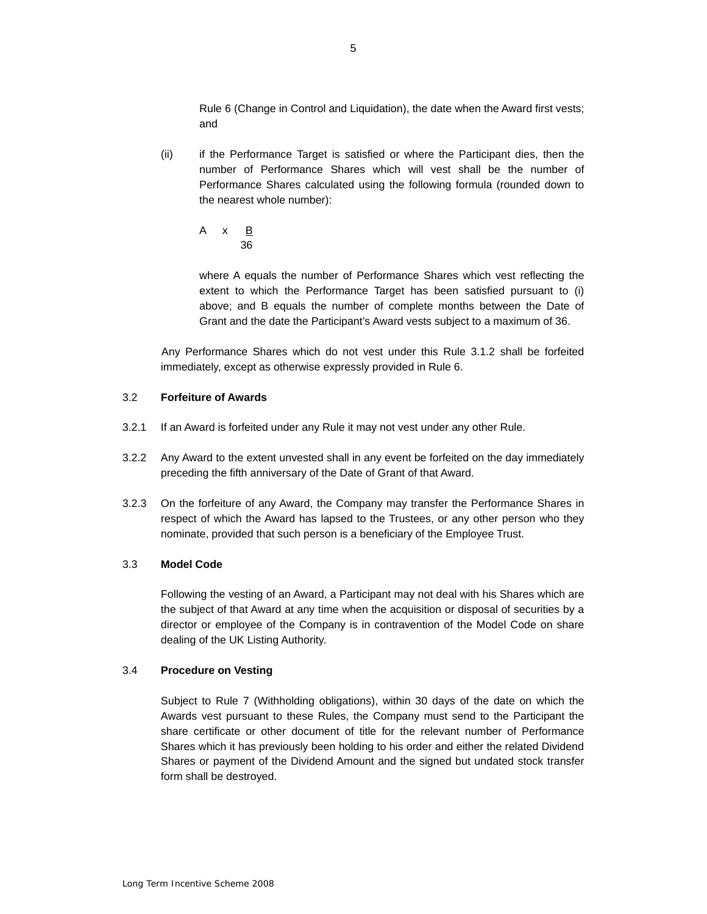Rule 6 (Change in Control and Liquidation), the date when the Award first vests; and

- $(ii)$  Performance Shares calculated using the following formula (rounded down to if the Performance Target is satisfied or where the Participant dies, then the number of Performance Shares which will vest shall be the number of the nearest whole number):
	- A x B 36

 where A equals the number of Performance Shares which vest reflecting the extent to which the Performance Target has been satisfied pursuant to (i) above; and B equals the number of complete months between the Date of Grant and the date the Participant's Award vests subject to a maximum of 36.

 Any Performance Shares which do not vest under this Rule 3.1.2 shall be forfeited immediately, except as otherwise expressly provided in Rule 6.

### 3.2 **Forfeiture of Awards**

- 3.2.1 If an Award is forfeited under any Rule it may not vest under any other Rule.
- preceding the fifth anniversary of the Date of Grant of that Award. 3.2.2 Any Award to the extent unvested shall in any event be forfeited on the day immediately
- 3.2.3 On the forfeiture of any Award, the Company may transfer the Performance Shares in respect of which the Award has lapsed to the Trustees, or any other person who they nominate, provided that such person is a beneficiary of the Employee Trust.

### 3.3 **Model Code**

 Following the vesting of an Award, a Participant may not deal with his Shares which are director or employee of the Company is in contravention of the Model Code on share the subject of that Award at any time when the acquisition or disposal of securities by a dealing of the UK Listing Authority.

#### 3.4 **Procedure on Vesting**

 Awards vest pursuant to these Rules, the Company must send to the Participant the share certificate or other document of title for the relevant number of Performance Shares which it has previously been holding to his order and either the related Dividend Shares or payment of the Dividend Amount and the signed but undated stock transfer Subject to Rule 7 (Withholding obligations), within 30 days of the date on which the form shall be destroyed.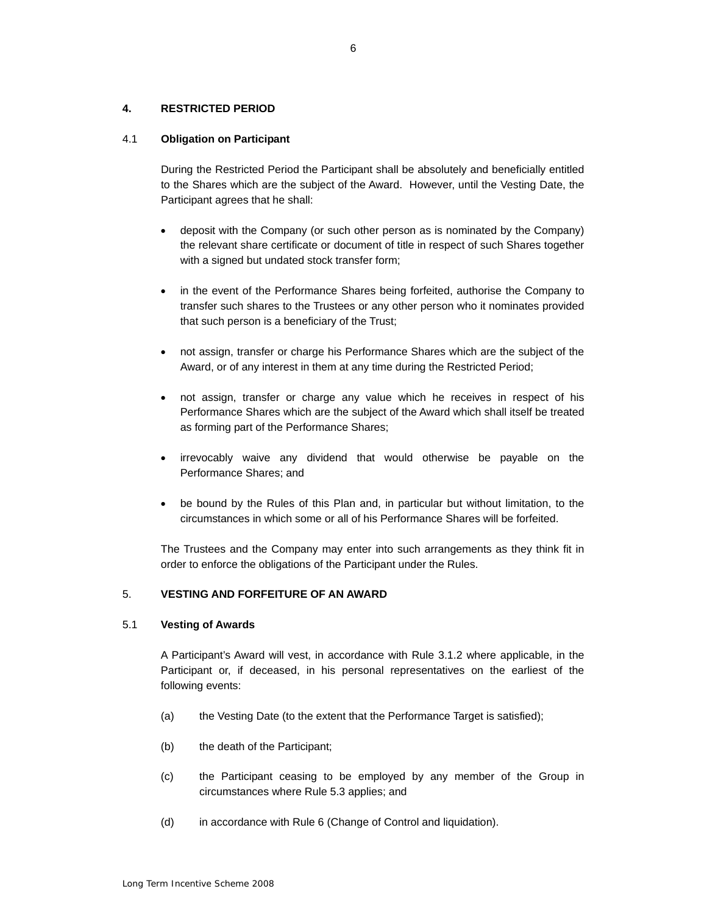### **4. RESTRICTED PERIOD**

### 4.1 **Obligation on Participant**

 During the Restricted Period the Participant shall be absolutely and beneficially entitled to the Shares which are the subject of the Award. However, until the Vesting Date, the Participant agrees that he shall:

- the relevant share certificate or document of title in respect of such Shares together deposit with the Company (or such other person as is nominated by the Company) with a signed but undated stock transfer form;
- in the event of the Performance Shares being forfeited, authorise the Company to transfer such shares to the Trustees or any other person who it nominates provided that such person is a beneficiary of the Trust;
- not assign, transfer or charge his Performance Shares which are the subject of the Award, or of any interest in them at any time during the Restricted Period;
- • not assign, transfer or charge any value which he receives in respect of his Performance Shares which are the subject of the Award which shall itself be treated as forming part of the Performance Shares;
- • irrevocably waive any dividend that would otherwise be payable on the Performance Shares; and
- be bound by the Rules of this Plan and, in particular but without limitation, to the circumstances in which some or all of his Performance Shares will be forfeited.

 The Trustees and the Company may enter into such arrangements as they think fit in order to enforce the obligations of the Participant under the Rules.

### 5. **VESTING AND FORFEITURE OF AN AWARD**

#### 5.1 **Vesting of Awards**

 A Participant's Award will vest, in accordance with Rule 3.1.2 where applicable, in the Participant or, if deceased, in his personal representatives on the earliest of the following events:

- (a) the Vesting Date (to the extent that the Performance Target is satisfied);
- (b) the death of the Participant;
- (c) the Participant ceasing to be employed by any member of the Group in circumstances where Rule 5.3 applies; and
- $(d)$ in accordance with Rule 6 (Change of Control and liquidation).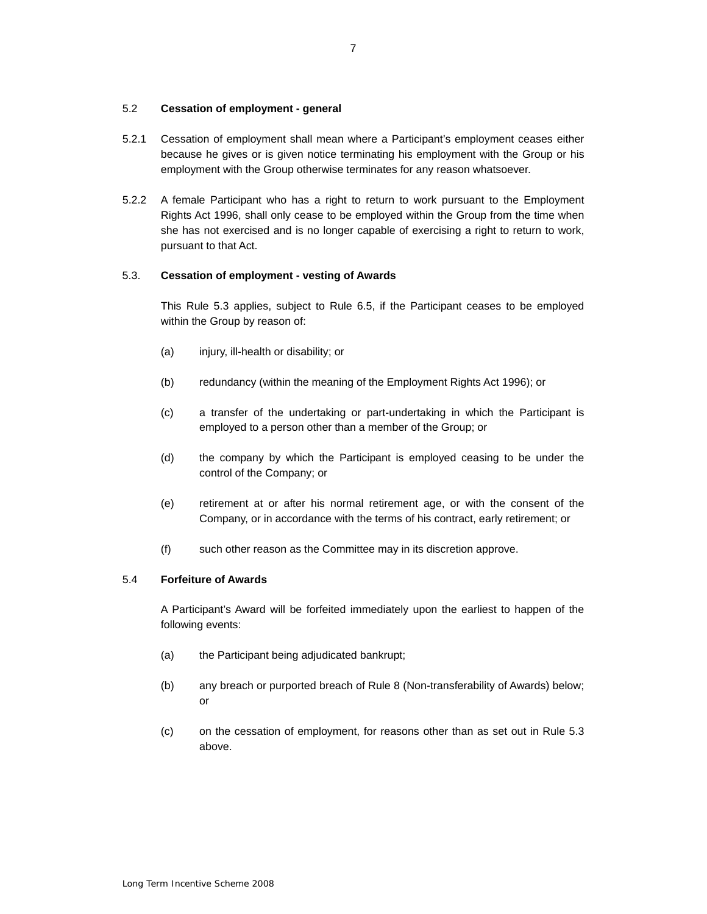### 5.2 **Cessation of employment - general**

- 5.2.1 Cessation of employment shall mean where a Participant's employment ceases either because he gives or is given notice terminating his employment with the Group or his employment with the Group otherwise terminates for any reason whatsoever.
- 5.2.2 A female Participant who has a right to return to work pursuant to the Employment Rights Act 1996, shall only cease to be employed within the Group from the time when she has not exercised and is no longer capable of exercising a right to return to work, pursuant to that Act.

### 5.3. **Cessation of employment - vesting of Awards**

This Rule 5.3 applies, subject to Rule 6.5, if the Participant ceases to be employed within the Group by reason of:

- (a) injury, ill-health or disability; or
- (b) redundancy (within the meaning of the Employment Rights Act 1996); or
- employed to a person other than a member of the Group; or (c) a transfer of the undertaking or part-undertaking in which the Participant is
- (d) the company by which the Participant is employed ceasing to be under the control of the Company; or
- (e) retirement at or after his normal retirement age, or with the consent of the Company, or in accordance with the terms of his contract, early retirement; or
- $(f)$ such other reason as the Committee may in its discretion approve.

#### 5.4 **Forfeiture of Awards**

 A Participant's Award will be forfeited immediately upon the earliest to happen of the following events:

- (a) the Participant being adjudicated bankrupt;
- (b) any breach or purported breach of Rule 8 (Non-transferability of Awards) below; or
- (c) on the cessation of employment, for reasons other than as set out in Rule 5.3 above.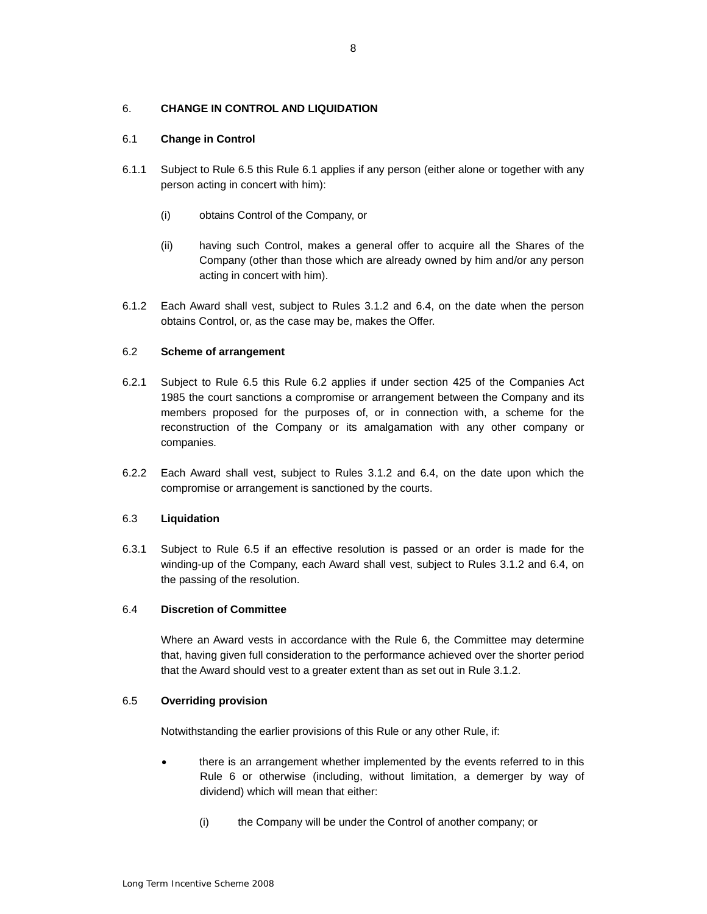### <span id="page-7-0"></span> 6. **CHANGE IN CONTROL AND LIQUIDATION**

### 6.1 **Change in Control**

- 6.1.1 Subject to Rule 6.5 this Rule 6.1 applies if any person (either alone or together with any person acting in concert with him):
	- (i) obtains Control of the Company, or
	- (ii) having such Control, makes a general offer to acquire all the Shares of the Company (other than those which are already owned by him and/or any person acting in concert with him).
- 6.1.2 Each Award shall vest, subject to Rules 3.1.2 and 6.4, on the date when the person obtains Control, or, as the case may be, makes the Offer.

### 6.2 **Scheme of arrangement**

- 1985 the court sanctions a compromise or arrangement between the Company and its members proposed for the purposes of, or in connection with, a scheme for the 6.2.1 Subject to Rule 6.5 this Rule 6.2 applies if under section 425 of the Companies Act reconstruction of the Company or its amalgamation with any other company or companies.
- 6.2.2 Each Award shall vest, subject to Rules 3.1.2 and 6.4, on the date upon which the compromise or arrangement is sanctioned by the courts.

#### 6.3 **Liquidation**

 6.3.1 Subject to Rule 6.5 if an effective resolution is passed or an order is made for the winding-up of the Company, each Award shall vest, subject to Rules 3.1.2 and 6.4, on the passing of the resolution.

### 6.4 **Discretion of Committee**

 Where an Award vests in accordance with the Rule 6, the Committee may determine that, having given full consideration to the performance achieved over the shorter period that the Award should vest to a greater extent than as set out in Rule 3.1.2.

### 6.5 **Overriding provision**

Notwithstanding the earlier provisions of this Rule or any other Rule, if:

- there is an arrangement whether implemented by the events referred to in this Rule 6 or otherwise (including, without limitation, a demerger by way of dividend) which will mean that either:
	- (i) the Company will be under the Control of another company; or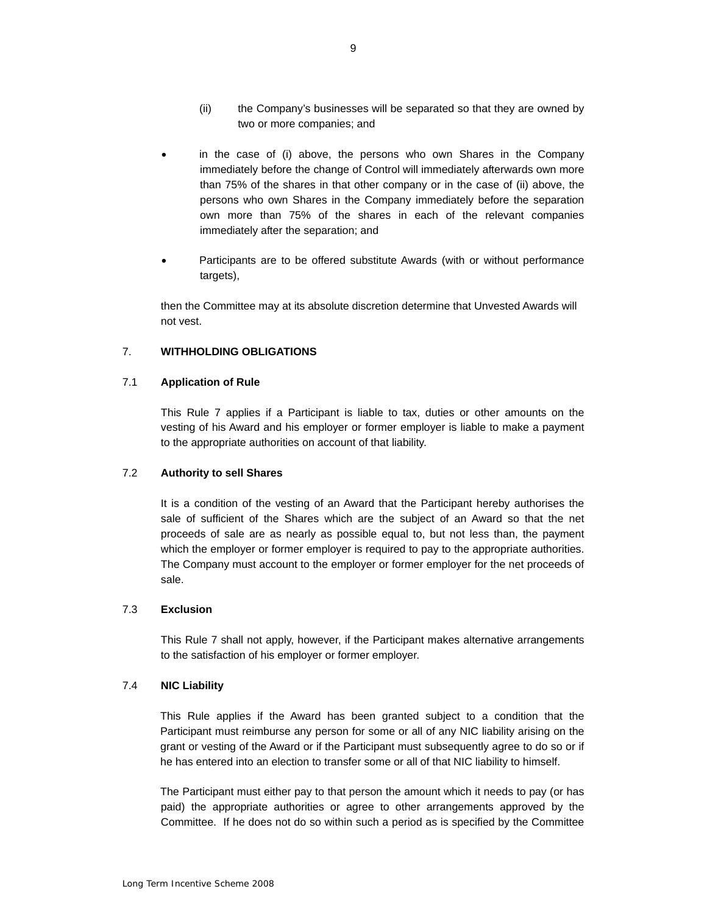- (ii) the Company's businesses will be separated so that they are owned by two or more companies; and
- <span id="page-8-0"></span> than 75% of the shares in that other company or in the case of (ii) above, the persons who own Shares in the Company immediately before the separation own more than 75% of the shares in each of the relevant companies in the case of (i) above, the persons who own Shares in the Company immediately before the change of Control will immediately afterwards own more immediately after the separation; and
- • Participants are to be offered substitute Awards (with or without performance targets),

then the Committee may at its absolute discretion determine that Unvested Awards will not vest.

### 7. **WITHHOLDING OBLIGATIONS**

### 7.1 **Application of Rule**

 vesting of his Award and his employer or former employer is liable to make a payment This Rule 7 applies if a Participant is liable to tax, duties or other amounts on the to the appropriate authorities on account of that liability.

### 7.2 **Authority to sell Shares**

 sale of sufficient of the Shares which are the subject of an Award so that the net proceeds of sale are as nearly as possible equal to, but not less than, the payment which the employer or former employer is required to pay to the appropriate authorities. It is a condition of the vesting of an Award that the Participant hereby authorises the The Company must account to the employer or former employer for the net proceeds of sale.

### 7.3 **Exclusion**

 to the satisfaction of his employer or former employer. This Rule 7 shall not apply, however, if the Participant makes alternative arrangements

### 7.4 **NIC Liability**

 grant or vesting of the Award or if the Participant must subsequently agree to do so or if This Rule applies if the Award has been granted subject to a condition that the Participant must reimburse any person for some or all of any NIC liability arising on the he has entered into an election to transfer some or all of that NIC liability to himself.

 paid) the appropriate authorities or agree to other arrangements approved by the Committee. If he does not do so within such a period as is specified by the Committee The Participant must either pay to that person the amount which it needs to pay (or has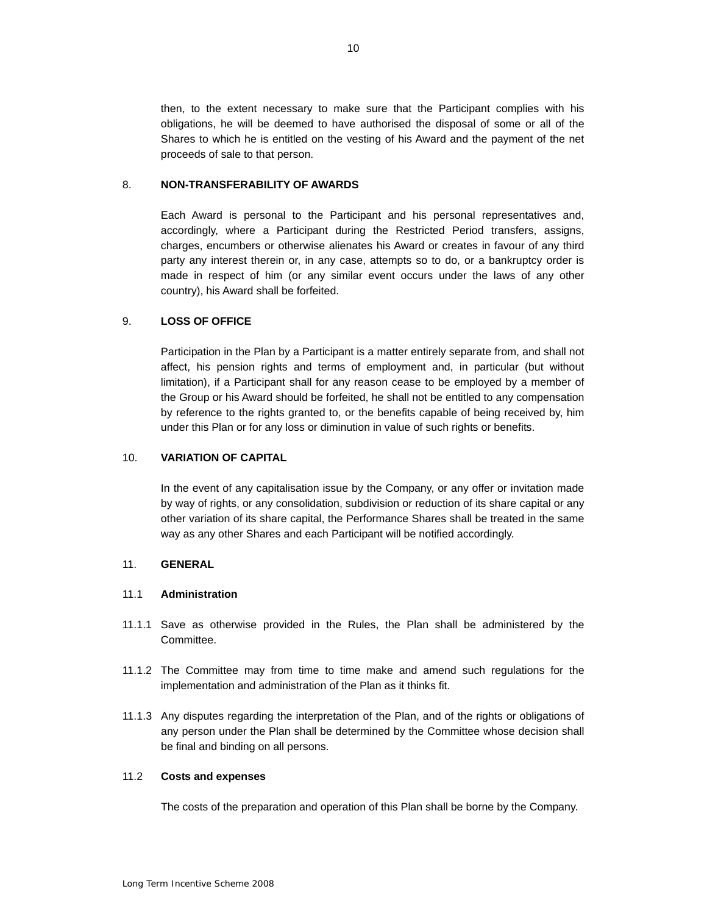<span id="page-9-0"></span> then, to the extent necessary to make sure that the Participant complies with his Shares to which he is entitled on the vesting of his Award and the payment of the net proceeds of sale to that person. obligations, he will be deemed to have authorised the disposal of some or all of the

### 8. **NON-TRANSFERABILITY OF AWARDS**

 accordingly, where a Participant during the Restricted Period transfers, assigns, charges, encumbers or otherwise alienates his Award or creates in favour of any third party any interest therein or, in any case, attempts so to do, or a bankruptcy order is Each Award is personal to the Participant and his personal representatives and, made in respect of him (or any similar event occurs under the laws of any other country), his Award shall be forfeited.

### 9. **LOSS OF OFFICE**

 the Group or his Award should be forfeited, he shall not be entitled to any compensation Participation in the Plan by a Participant is a matter entirely separate from, and shall not affect, his pension rights and terms of employment and, in particular (but without limitation), if a Participant shall for any reason cease to be employed by a member of by reference to the rights granted to, or the benefits capable of being received by, him under this Plan or for any loss or diminution in value of such rights or benefits.

### 10. **VARIATION OF CAPITAL**

 In the event of any capitalisation issue by the Company, or any offer or invitation made other variation of its share capital, the Performance Shares shall be treated in the same by way of rights, or any consolidation, subdivision or reduction of its share capital or any way as any other Shares and each Participant will be notified accordingly.

#### 11. **GENERAL**

#### 11.1 **Administration**

- 11.1.1 Save as otherwise provided in the Rules, the Plan shall be administered by the Committee.
- 11.1.2 The Committee may from time to time make and amend such regulations for the implementation and administration of the Plan as it thinks fit.
- 11.1.3 Any disputes regarding the interpretation of the Plan, and of the rights or obligations of any person under the Plan shall be determined by the Committee whose decision shall be final and binding on all persons.

#### 11.2 **Costs and expenses**

The costs of the preparation and operation of this Plan shall be borne by the Company.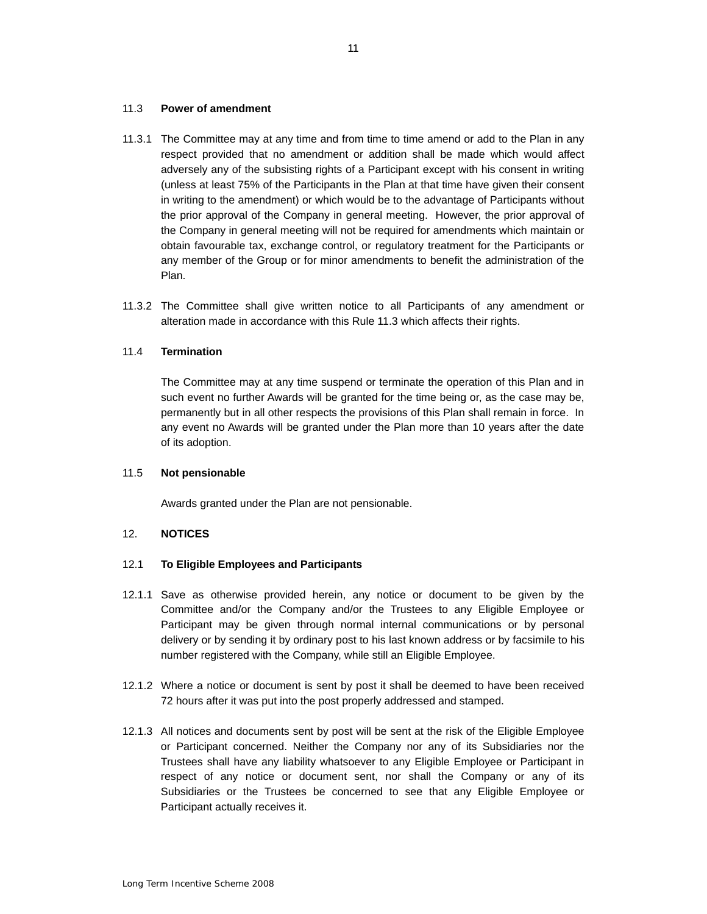#### <span id="page-10-0"></span>11.3 **Power of amendment**

- (unless at least 75% of the Participants in the Plan at that time have given their consent in writing to the amendment) or which would be to the advantage of Participants without the Company in general meeting will not be required for amendments which maintain or obtain favourable tax, exchange control, or regulatory treatment for the Participants or any member of the Group or for minor amendments to benefit the administration of the 11.3.1 The Committee may at any time and from time to time amend or add to the Plan in any respect provided that no amendment or addition shall be made which would affect adversely any of the subsisting rights of a Participant except with his consent in writing the prior approval of the Company in general meeting. However, the prior approval of Plan.
- alteration made in accordance with this Rule 11.3 which affects their rights. 11.3.2 The Committee shall give written notice to all Participants of any amendment or

### 11.4 **Termination**

 The Committee may at any time suspend or terminate the operation of this Plan and in permanently but in all other respects the provisions of this Plan shall remain in force. In any event no Awards will be granted under the Plan more than 10 years after the date such event no further Awards will be granted for the time being or, as the case may be, of its adoption.

#### 11.5 **Not pensionable**

Awards granted under the Plan are not pensionable.

#### 12. **NOTICES**

### 12.1 **To Eligible Employees and Participants**

- 12.1.1 Save as otherwise provided herein, any notice or document to be given by the delivery or by sending it by ordinary post to his last known address or by facsimile to his Committee and/or the Company and/or the Trustees to any Eligible Employee or Participant may be given through normal internal communications or by personal number registered with the Company, while still an Eligible Employee.
- 12.1.2 Where a notice or document is sent by post it shall be deemed to have been received 72 hours after it was put into the post properly addressed and stamped.
- 12.1.3 All notices and documents sent by post will be sent at the risk of the Eligible Employee or Participant concerned. Neither the Company nor any of its Subsidiaries nor the respect of any notice or document sent, nor shall the Company or any of its Subsidiaries or the Trustees be concerned to see that any Eligible Employee or Trustees shall have any liability whatsoever to any Eligible Employee or Participant in Participant actually receives it.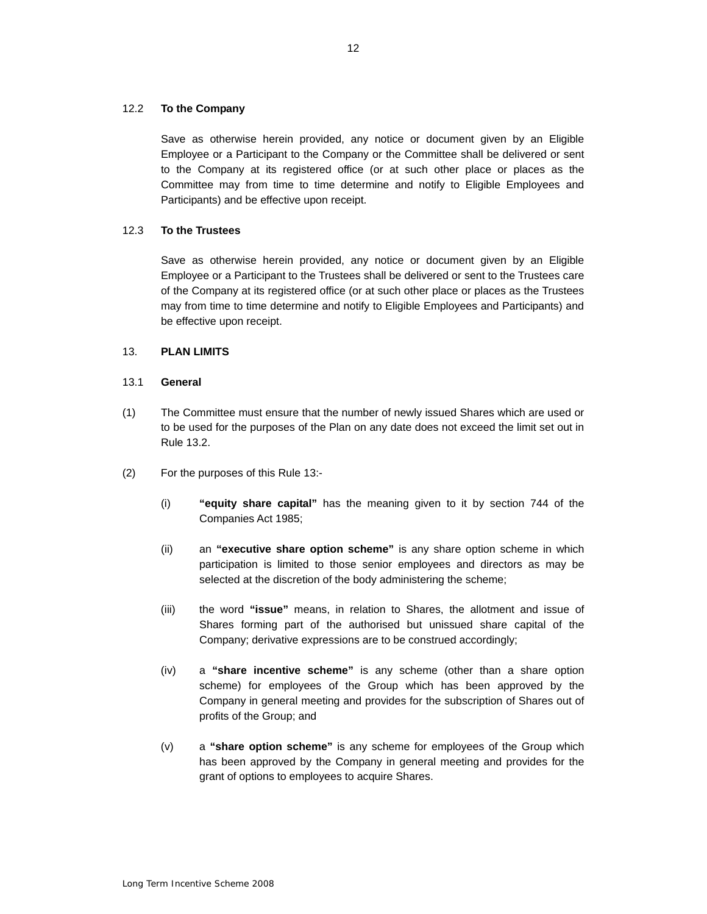#### 12.2 **To the Company**

 Employee or a Participant to the Company or the Committee shall be delivered or sent to the Company at its registered office (or at such other place or places as the Committee may from time to time determine and notify to Eligible Employees and Save as otherwise herein provided, any notice or document given by an Eligible Participants) and be effective upon receipt.

### 12.3 **To the Trustees**

 Employee or a Participant to the Trustees shall be delivered or sent to the Trustees care of the Company at its registered office (or at such other place or places as the Trustees may from time to time determine and notify to Eligible Employees and Participants) and Save as otherwise herein provided, any notice or document given by an Eligible be effective upon receipt.

### 13. **PLAN LIMITS**

### 13.1 **General**

- (1) The Committee must ensure that the number of newly issued Shares which are used or to be used for the purposes of the Plan on any date does not exceed the limit set out in Rule 13.2.
- (2) For the purposes of this Rule 13:-
	- (i) **"equity share capital"** has the meaning given to it by section 744 of the Companies Act 1985;
	- (ii) an **"executive share option scheme"** is any share option scheme in which participation is limited to those senior employees and directors as may be selected at the discretion of the body administering the scheme;
	- (iii) the word **"issue"** means, in relation to Shares, the allotment and issue of Shares forming part of the authorised but unissued share capital of the Company; derivative expressions are to be construed accordingly;
	- (iv) a **"share incentive scheme"** is any scheme (other than a share option profits of the Group; and scheme) for employees of the Group which has been approved by the Company in general meeting and provides for the subscription of Shares out of
	- (v) a **"share option scheme"** is any scheme for employees of the Group which has been approved by the Company in general meeting and provides for the grant of options to employees to acquire Shares.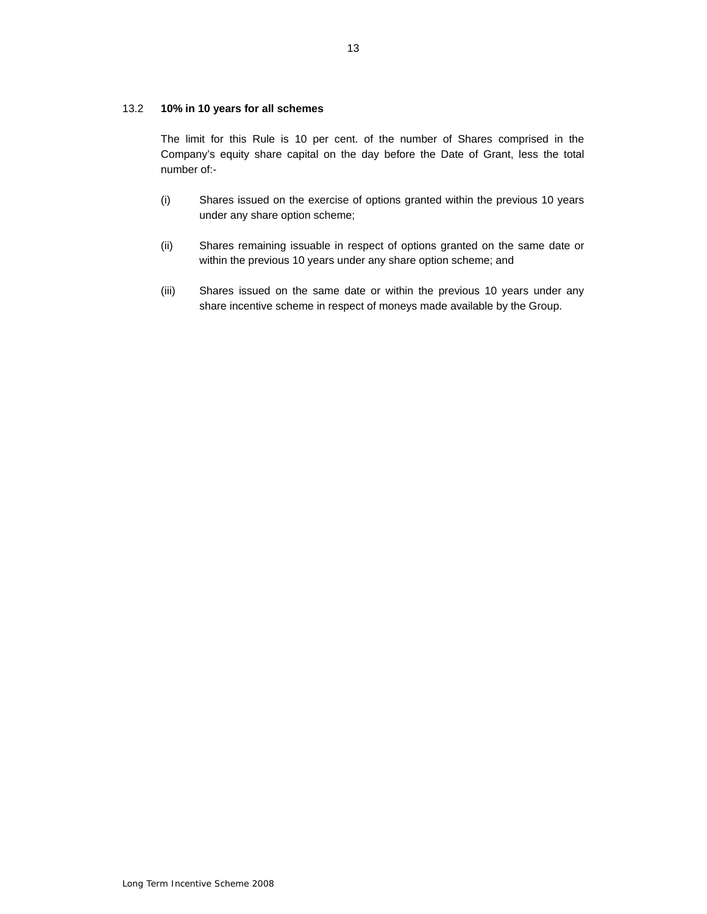#### 13.2 **10% in 10 years for all schemes**

 The limit for this Rule is 10 per cent. of the number of Shares comprised in the Company's equity share capital on the day before the Date of Grant, less the total number of:-

- (i) Shares issued on the exercise of options granted within the previous 10 years under any share option scheme;
- (ii) Shares remaining issuable in respect of options granted on the same date or within the previous 10 years under any share option scheme; and
- share incentive scheme in respect of moneys made available by the Group. (iii) Shares issued on the same date or within the previous 10 years under any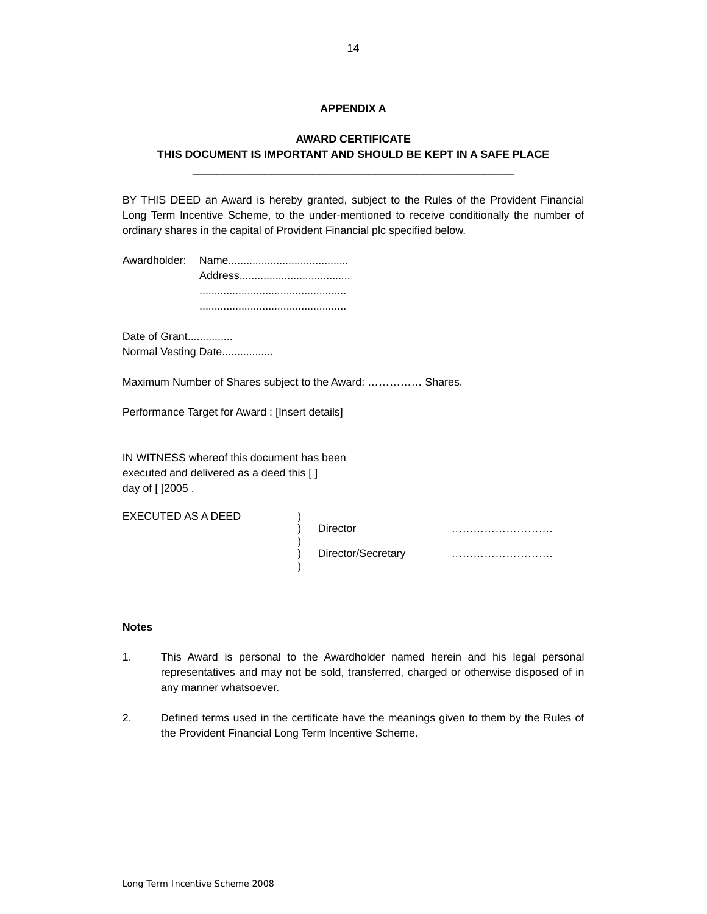### **APPENDIX A**

## <span id="page-13-0"></span>\_\_\_\_\_\_\_\_\_\_\_\_\_\_\_\_\_\_\_\_\_\_\_\_\_\_\_\_\_\_\_\_\_\_\_\_\_\_\_\_\_\_\_\_\_\_\_\_\_\_\_\_\_ **AWARD CERTIFICATE THIS DOCUMENT IS IMPORTANT AND SHOULD BE KEPT IN A SAFE PLACE**

 BY THIS DEED an Award is hereby granted, subject to the Rules of the Provident Financial Long Term Incentive Scheme, to the under-mentioned to receive conditionally the number of ordinary shares in the capital of Provident Financial plc specified below.

Date of Grant............... Normal Vesting Date.................

Maximum Number of Shares subject to the Award: …………… Shares.

)<br>)<br>)

)

Performance Target for Award : [Insert details]

IN WITNESS whereof this document has been executed and delivered as a deed this [ ] day of [ ]2005 .

EXECUTED AS A DEED )

) Director ………………………. ) Director/Secretary ……………………….

#### **Notes**

- $1.$  representatives and may not be sold, transferred, charged or otherwise disposed of in This Award is personal to the Awardholder named herein and his legal personal any manner whatsoever.
- 2. Defined terms used in the certificate have the meanings given to them by the Rules of the Provident Financial Long Term Incentive Scheme.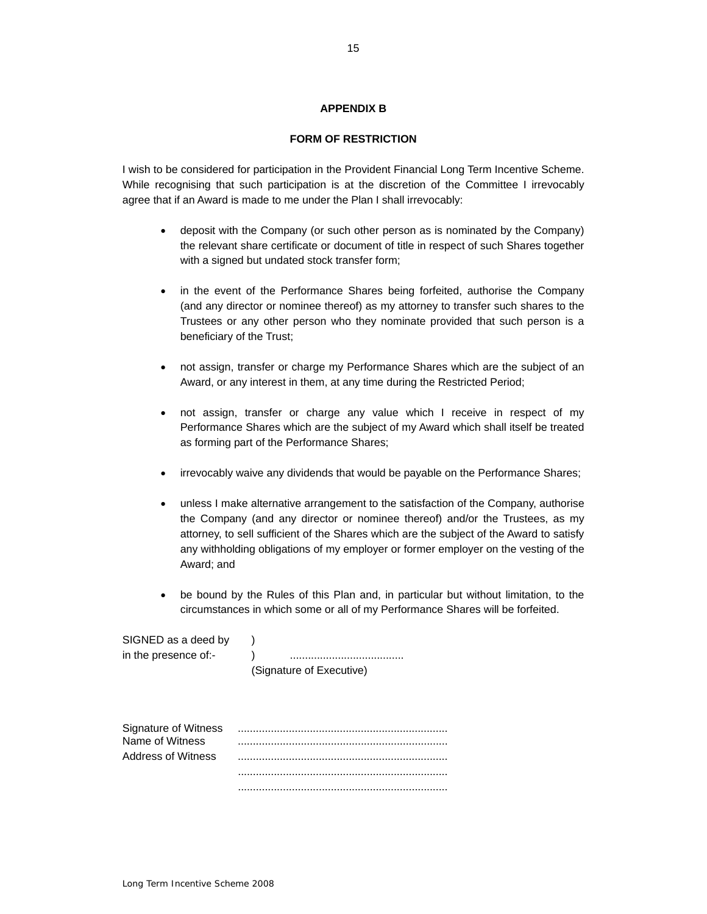### **APPENDIX B**

#### **FORM OF RESTRICTION**

<span id="page-14-0"></span> While recognising that such participation is at the discretion of the Committee I irrevocably agree that if an Award is made to me under the Plan I shall irrevocably: I wish to be considered for participation in the Provident Financial Long Term Incentive Scheme.

- the relevant share certificate or document of title in respect of such Shares together • deposit with the Company (or such other person as is nominated by the Company) with a signed but undated stock transfer form;
- in the event of the Performance Shares being forfeited, authorise the Company (and any director or nominee thereof) as my attorney to transfer such shares to the Trustees or any other person who they nominate provided that such person is a beneficiary of the Trust;
- not assign, transfer or charge my Performance Shares which are the subject of an Award, or any interest in them, at any time during the Restricted Period;
- Performance Shares which are the subject of my Award which shall itself be treated • not assign, transfer or charge any value which I receive in respect of my as forming part of the Performance Shares;
- irrevocably waive any dividends that would be payable on the Performance Shares;
- unless I make alternative arrangement to the satisfaction of the Company, authorise the Company (and any director or nominee thereof) and/or the Trustees, as my attorney, to sell sufficient of the Shares which are the subject of the Award to satisfy any withholding obligations of my employer or former employer on the vesting of the Award; and
- circumstances in which some or all of my Performance Shares will be forfeited. • be bound by the Rules of this Plan and, in particular but without limitation, to the

| SIGNED as a deed by  |                          |
|----------------------|--------------------------|
| in the presence of:- |                          |
|                      | (Signature of Executive) |

| Signature of Witness |  |
|----------------------|--|
| Name of Witness      |  |
| Address of Witness   |  |
|                      |  |
|                      |  |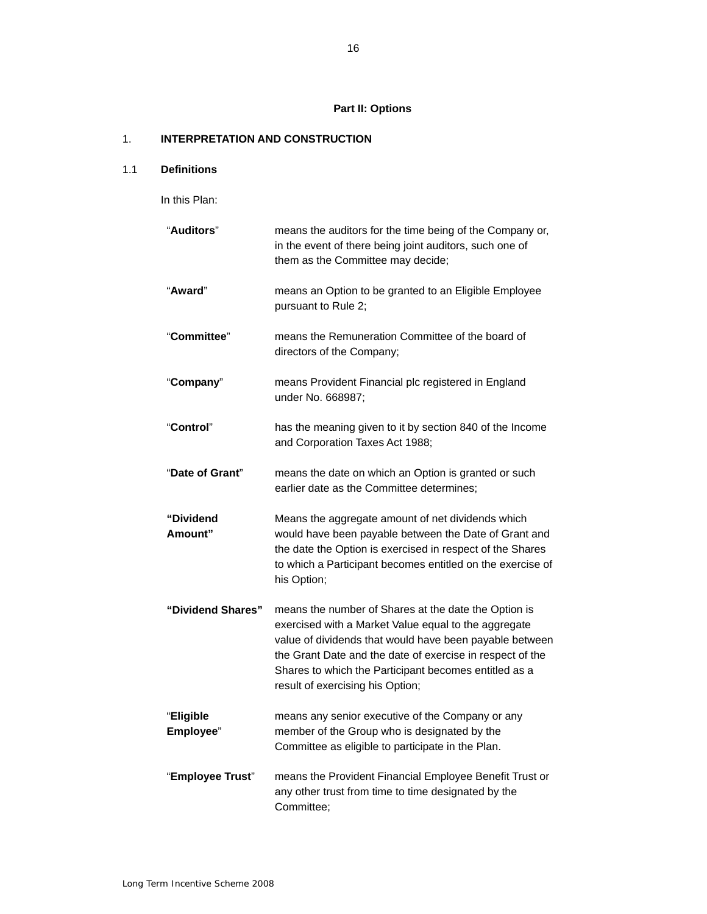# **Part II: Options**

## 1. **INTERPRETATION AND CONSTRUCTION**

### 1.1 **Definitions**

In this Plan:

| "Auditors"             | means the auditors for the time being of the Company or,<br>in the event of there being joint auditors, such one of<br>them as the Committee may decide;                                                                                                                                                                          |
|------------------------|-----------------------------------------------------------------------------------------------------------------------------------------------------------------------------------------------------------------------------------------------------------------------------------------------------------------------------------|
| "Award"                | means an Option to be granted to an Eligible Employee<br>pursuant to Rule 2;                                                                                                                                                                                                                                                      |
| "Committee"            | means the Remuneration Committee of the board of<br>directors of the Company;                                                                                                                                                                                                                                                     |
| "Company"              | means Provident Financial plc registered in England<br>under No. 668987;                                                                                                                                                                                                                                                          |
| "Control"              | has the meaning given to it by section 840 of the Income<br>and Corporation Taxes Act 1988;                                                                                                                                                                                                                                       |
| "Date of Grant"        | means the date on which an Option is granted or such<br>earlier date as the Committee determines:                                                                                                                                                                                                                                 |
| "Dividend<br>Amount"   | Means the aggregate amount of net dividends which<br>would have been payable between the Date of Grant and<br>the date the Option is exercised in respect of the Shares<br>to which a Participant becomes entitled on the exercise of<br>his Option;                                                                              |
| "Dividend Shares"      | means the number of Shares at the date the Option is<br>exercised with a Market Value equal to the aggregate<br>value of dividends that would have been payable between<br>the Grant Date and the date of exercise in respect of the<br>Shares to which the Participant becomes entitled as a<br>result of exercising his Option; |
| "Eligible<br>Employee" | means any senior executive of the Company or any<br>member of the Group who is designated by the<br>Committee as eligible to participate in the Plan.                                                                                                                                                                             |
| "Employee Trust"       | means the Provident Financial Employee Benefit Trust or<br>any other trust from time to time designated by the<br>Committee;                                                                                                                                                                                                      |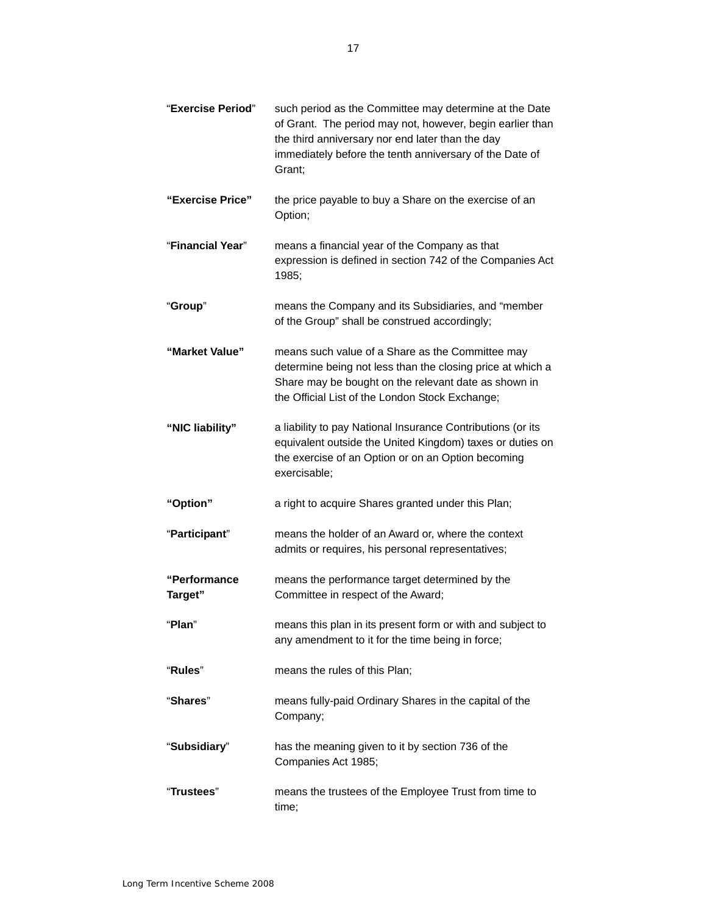| "Exercise Period"       | such period as the Committee may determine at the Date<br>of Grant. The period may not, however, begin earlier than<br>the third anniversary nor end later than the day<br>immediately before the tenth anniversary of the Date of<br>Grant; |
|-------------------------|----------------------------------------------------------------------------------------------------------------------------------------------------------------------------------------------------------------------------------------------|
| "Exercise Price"        | the price payable to buy a Share on the exercise of an<br>Option;                                                                                                                                                                            |
| "Financial Year"        | means a financial year of the Company as that<br>expression is defined in section 742 of the Companies Act<br>1985;                                                                                                                          |
| "Group"                 | means the Company and its Subsidiaries, and "member<br>of the Group" shall be construed accordingly;                                                                                                                                         |
| "Market Value"          | means such value of a Share as the Committee may<br>determine being not less than the closing price at which a<br>Share may be bought on the relevant date as shown in<br>the Official List of the London Stock Exchange;                    |
| "NIC liability"         | a liability to pay National Insurance Contributions (or its<br>equivalent outside the United Kingdom) taxes or duties on<br>the exercise of an Option or on an Option becoming<br>exercisable;                                               |
| "Option"                | a right to acquire Shares granted under this Plan;                                                                                                                                                                                           |
| "Participant"           | means the holder of an Award or, where the context<br>admits or requires, his personal representatives;                                                                                                                                      |
| "Performance<br>Target" | means the performance target determined by the<br>Committee in respect of the Award;                                                                                                                                                         |
| "Plan"                  | means this plan in its present form or with and subject to<br>any amendment to it for the time being in force;                                                                                                                               |
| "Rules"                 | means the rules of this Plan;                                                                                                                                                                                                                |
| "Shares"                | means fully-paid Ordinary Shares in the capital of the<br>Company;                                                                                                                                                                           |
| "Subsidiary"            | has the meaning given to it by section 736 of the<br>Companies Act 1985;                                                                                                                                                                     |
| "Trustees"              | means the trustees of the Employee Trust from time to<br>time;                                                                                                                                                                               |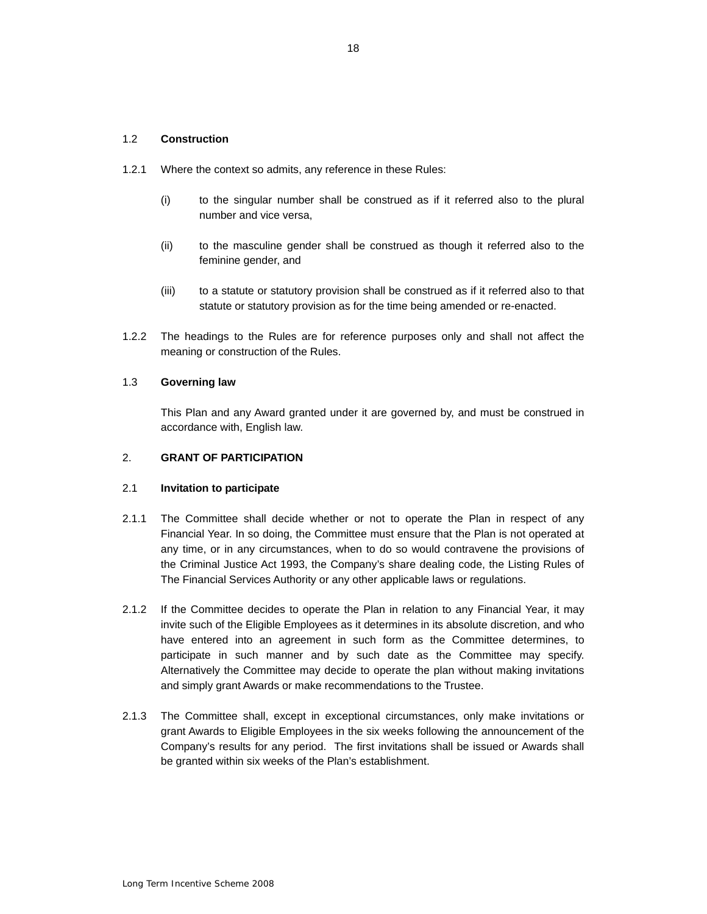#### 1.2 **Construction**

- 1.2.1 Where the context so admits, any reference in these Rules:
	- (i) to the singular number shall be construed as if it referred also to the plural number and vice versa,
	- (ii) to the masculine gender shall be construed as though it referred also to the feminine gender, and
	- (iii) to a statute or statutory provision shall be construed as if it referred also to that statute or statutory provision as for the time being amended or re-enacted.
- 1.2.2 The headings to the Rules are for reference purposes only and shall not affect the meaning or construction of the Rules.

### 1.3 **Governing law**

 This Plan and any Award granted under it are governed by, and must be construed in accordance with, English law.

### 2. **GRANT OF PARTICIPATION**

#### 2.1 **Invitation to participate**

- $2.1.1$  Financial Year. In so doing, the Committee must ensure that the Plan is not operated at any time, or in any circumstances, when to do so would contravene the provisions of the Criminal Justice Act 1993, the Company's share dealing code, the Listing Rules of The Committee shall decide whether or not to operate the Plan in respect of any The Financial Services Authority or any other applicable laws or regulations.
- $2.1.2$  invite such of the Eligible Employees as it determines in its absolute discretion, and who have entered into an agreement in such form as the Committee determines, to participate in such manner and by such date as the Committee may specify. participate in such manner and by such date as the Committee may specify.<br>Alternatively the Committee may decide to operate the plan without making invitations and simply grant Awards or make recommendations to the Trustee. If the Committee decides to operate the Plan in relation to any Financial Year, it may
- 2.1.3 The Committee shall, except in exceptional circumstances, only make invitations or grant Awards to Eligible Employees in the six weeks following the announcement of the Company's results for any period. The first invitations shall be issued or Awards shall be granted within six weeks of the Plan's establishment.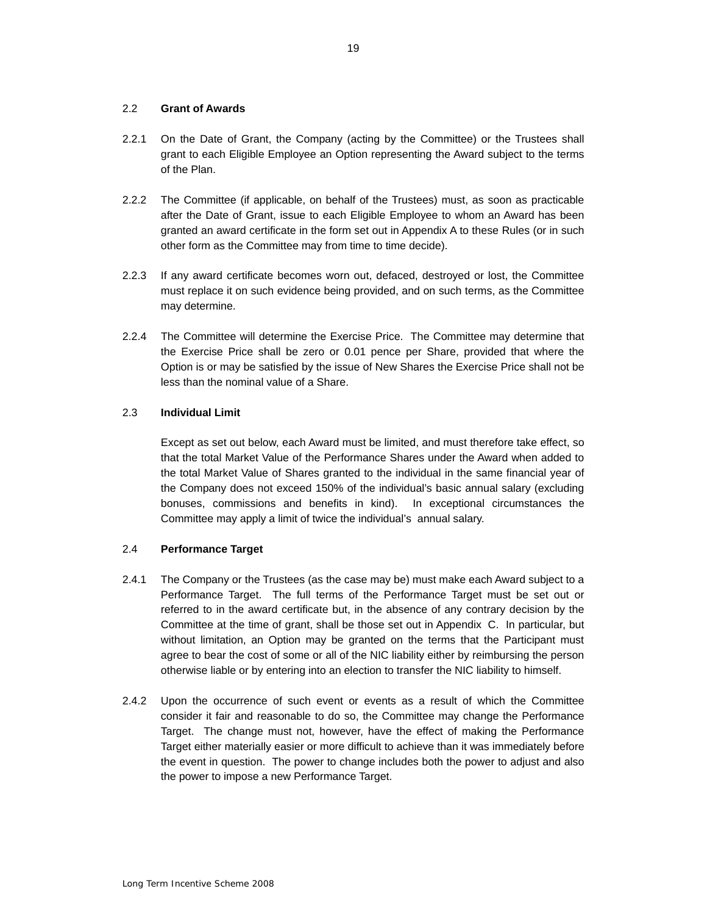### <span id="page-18-0"></span>2.2 **Grant of Awards**

- 2.2.1 On the Date of Grant, the Company (acting by the Committee) or the Trustees shall grant to each Eligible Employee an Option representing the Award subject to the terms of the Plan.
- 2.2.2 The Committee (if applicable, on behalf of the Trustees) must, as soon as practicable granted an award certificate in the form set out in Appendix A to these Rules (or in such after the Date of Grant, issue to each Eligible Employee to whom an Award has been other form as the Committee may from time to time decide).
- 2.2.3 If any award certificate becomes worn out, defaced, destroyed or lost, the Committee must replace it on such evidence being provided, and on such terms, as the Committee may determine.
- the Exercise Price shall be zero or 0.01 pence per Share, provided that where the Option is or may be satisfied by the issue of New Shares the Exercise Price shall not be 2.2.4 The Committee will determine the Exercise Price. The Committee may determine that less than the nominal value of a Share.

### 2.3 **Individual Limit**

 Except as set out below, each Award must be limited, and must therefore take effect, so the total Market Value of Shares granted to the individual in the same financial year of bonuses, commissions and benefits in kind). In exceptional circumstances the Committee may apply a limit of twice the individual's annual salary. that the total Market Value of the Performance Shares under the Award when added to the Company does not exceed 150% of the individual's basic annual salary (excluding

### 2.4 **Performance Target**

- 2.4.1 The Company or the Trustees (as the case may be) must make each Award subject to a referred to in the award certificate but, in the absence of any contrary decision by the Committee at the time of grant, shall be those set out in Appendix C. In particular, but without limitation, an Option may be granted on the terms that the Participant must agree to bear the cost of some or all of the NIC liability either by reimbursing the person Performance Target. The full terms of the Performance Target must be set out or otherwise liable or by entering into an election to transfer the NIC liability to himself.
- 2.4.2 Upon the occurrence of such event or events as a result of which the Committee consider it fair and reasonable to do so, the Committee may change the Performance Target either materially easier or more difficult to achieve than it was immediately before the event in question. The power to change includes both the power to adjust and also Target. The change must not, however, have the effect of making the Performance the power to impose a new Performance Target.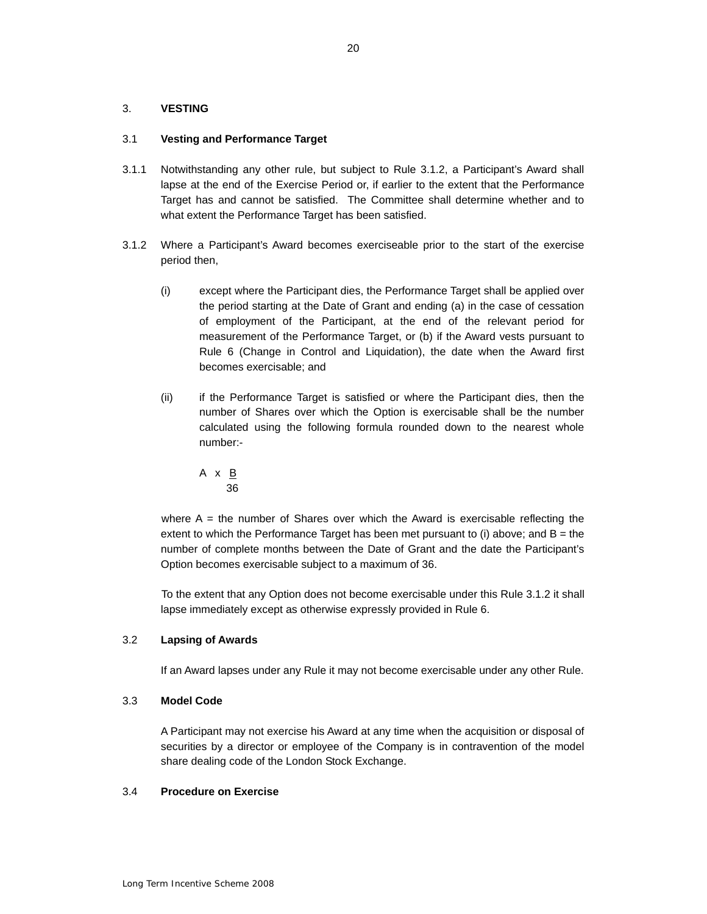### <span id="page-19-0"></span>3. **VESTING**

### 3.1 **Vesting and Performance Target**

- 3.1.1 Notwithstanding any other rule, but subject to Rule 3.1.2, a Participant's Award shall lapse at the end of the Exercise Period or, if earlier to the extent that the Performance Target has and cannot be satisfied. The Committee shall determine whether and to what extent the Performance Target has been satisfied.
- 3.1.2 Where a Participant's Award becomes exerciseable prior to the start of the exercise period then,
	- (i) except where the Participant dies, the Performance Target shall be applied over the period starting at the Date of Grant and ending (a) in the case of cessation of employment of the Participant, at the end of the relevant period for Rule 6 (Change in Control and Liquidation), the date when the Award first measurement of the Performance Target, or (b) if the Award vests pursuant to becomes exercisable; and
	- $(ii)$  calculated using the following formula rounded down to the nearest whole if the Performance Target is satisfied or where the Participant dies, then the number of Shares over which the Option is exercisable shall be the number number:-

$$
\begin{array}{c}\nA \times \underline{B} \\
36\n\end{array}
$$

 where A = the number of Shares over which the Award is exercisable reflecting the number of complete months between the Date of Grant and the date the Participant's extent to which the Performance Target has been met pursuant to (i) above; and  $B =$  the Option becomes exercisable subject to a maximum of 36.

To the extent that any Option does not become exercisable under this Rule 3.1.2 it shall lapse immediately except as otherwise expressly provided in Rule 6.

### 3.2 **Lapsing of Awards**

If an Award lapses under any Rule it may not become exercisable under any other Rule.

### 3.3 **Model Code**

 A Participant may not exercise his Award at any time when the acquisition or disposal of securities by a director or employee of the Company is in contravention of the model share dealing code of the London Stock Exchange.

#### 3.4 **Procedure on Exercise**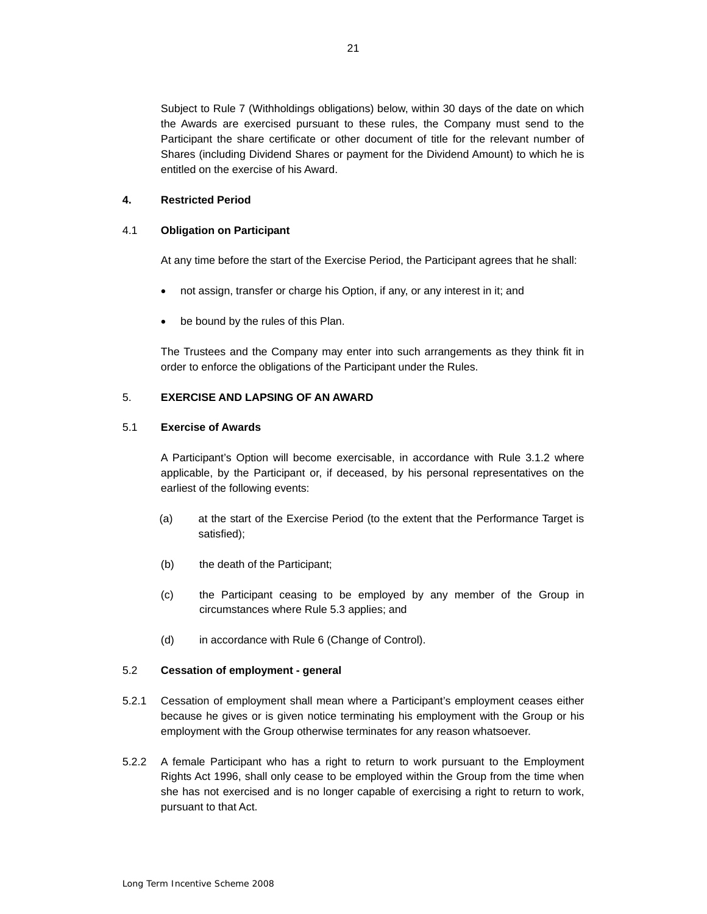Subject to Rule 7 (Withholdings obligations) below, within 30 days of the date on which the Awards are exercised pursuant to these rules, the Company must send to the Participant the share certificate or other document of title for the relevant number of Shares (including Dividend Shares or payment for the Dividend Amount) to which he is entitled on the exercise of his Award.

### **4. Restricted Period**

#### 4.1 **Obligation on Participant**

At any time before the start of the Exercise Period, the Participant agrees that he shall:

- not assign, transfer or charge his Option, if any, or any interest in it; and
- be bound by the rules of this Plan.

 The Trustees and the Company may enter into such arrangements as they think fit in order to enforce the obligations of the Participant under the Rules.

### 5. **EXERCISE AND LAPSING OF AN AWARD**

#### 5.1 **Exercise of Awards**

 applicable, by the Participant or, if deceased, by his personal representatives on the earliest of the following events: A Participant's Option will become exercisable, in accordance with Rule 3.1.2 where

- (a) at the start of the Exercise Period (to the extent that the Performance Target is satisfied);
- (b) the death of the Participant;
- circumstances where Rule 5.3 applies; and (c) the Participant ceasing to be employed by any member of the Group in
- $(d)$ in accordance with Rule 6 (Change of Control).

#### 5.2 **Cessation of employment - general**

- 5.2.1 Cessation of employment shall mean where a Participant's employment ceases either because he gives or is given notice terminating his employment with the Group or his employment with the Group otherwise terminates for any reason whatsoever.
- 5.2.2 A female Participant who has a right to return to work pursuant to the Employment Rights Act 1996, shall only cease to be employed within the Group from the time when she has not exercised and is no longer capable of exercising a right to return to work, pursuant to that Act.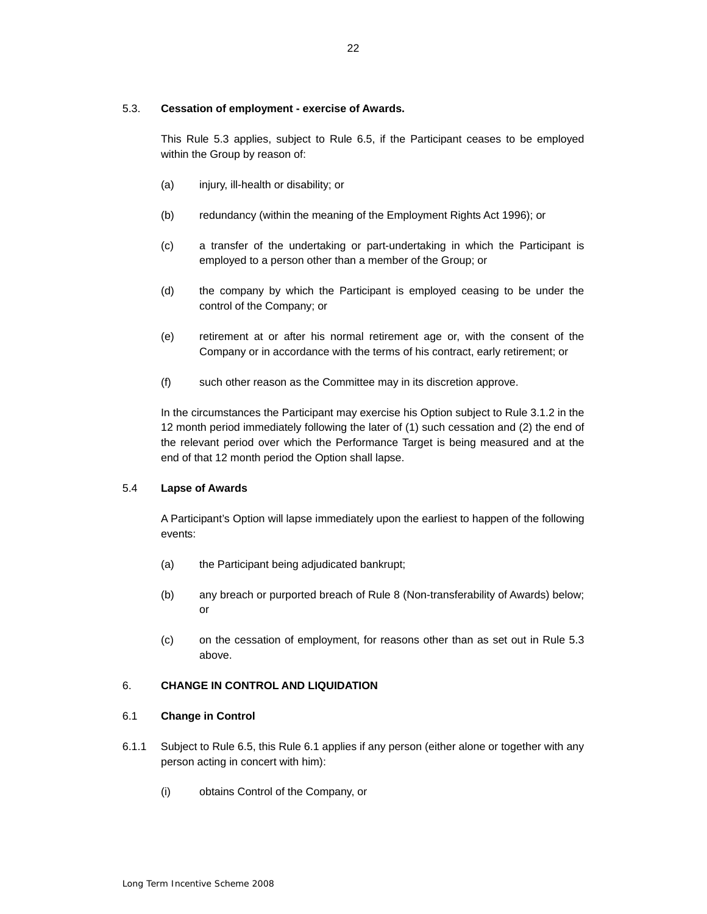### <span id="page-21-0"></span>5.3. **Cessation of employment - exercise of Awards.**

This Rule 5.3 applies, subject to Rule 6.5, if the Participant ceases to be employed within the Group by reason of:

- (a) injury, ill-health or disability; or
- (b) redundancy (within the meaning of the Employment Rights Act 1996); or
- employed to a person other than a member of the Group; or (c) a transfer of the undertaking or part-undertaking in which the Participant is
- (d) the company by which the Participant is employed ceasing to be under the control of the Company; or
- (e) retirement at or after his normal retirement age or, with the consent of the Company or in accordance with the terms of his contract, early retirement; or
- $(f)$ such other reason as the Committee may in its discretion approve.

 12 month period immediately following the later of (1) such cessation and (2) the end of the relevant period over which the Performance Target is being measured and at the In the circumstances the Participant may exercise his Option subject to Rule 3.1.2 in the end of that 12 month period the Option shall lapse.

### 5.4 **Lapse of Awards**

 A Participant's Option will lapse immediately upon the earliest to happen of the following events:

- (a) the Participant being adjudicated bankrupt;
- (b) any breach or purported breach of Rule 8 (Non-transferability of Awards) below; or
- $(c)$ on the cessation of employment, for reasons other than as set out in Rule 5.3 above.

### 6. **CHANGE IN CONTROL AND LIQUIDATION**

#### 6.1 **Change in Control**

- 6.1.1 Subject to Rule 6.5, this Rule 6.1 applies if any person (either alone or together with any person acting in concert with him):
	- (i) obtains Control of the Company, or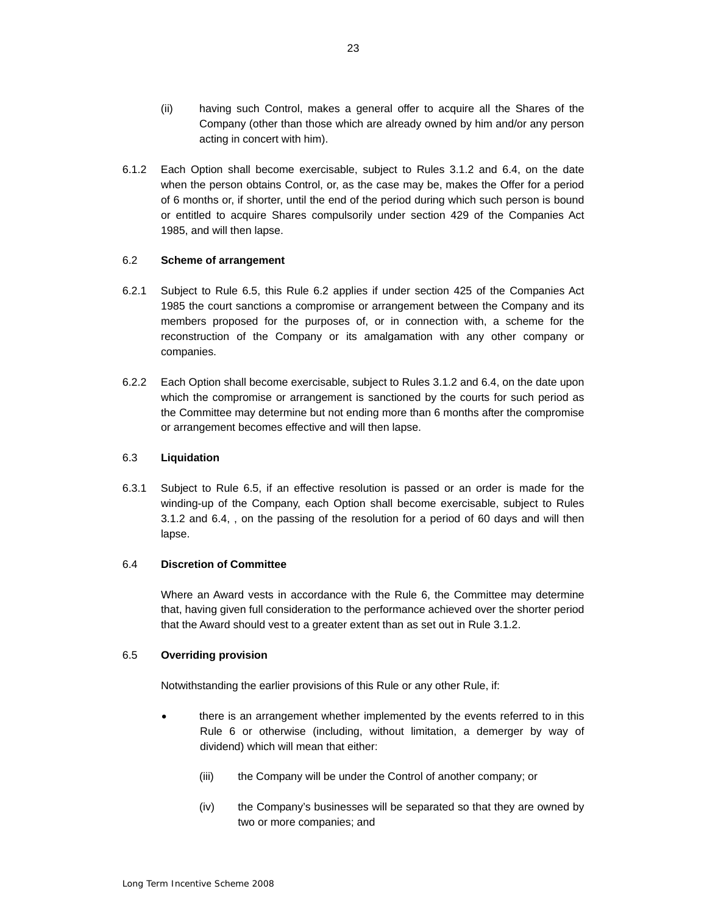- <span id="page-22-0"></span> (ii) having such Control, makes a general offer to acquire all the Shares of the Company (other than those which are already owned by him and/or any person acting in concert with him).
- 6.1.2 Each Option shall become exercisable, subject to Rules 3.1.2 and 6.4, on the date when the person obtains Control, or, as the case may be, makes the Offer for a period of 6 months or, if shorter, until the end of the period during which such person is bound or entitled to acquire Shares compulsorily under section 429 of the Companies Act 1985, and will then lapse.

### 6.2 **Scheme of arrangement**

- 1985 the court sanctions a compromise or arrangement between the Company and its members proposed for the purposes of, or in connection with, a scheme for the 6.2.1 Subject to Rule 6.5, this Rule 6.2 applies if under section 425 of the Companies Act reconstruction of the Company or its amalgamation with any other company or companies.
- 6.2.2 Each Option shall become exercisable, subject to Rules 3.1.2 and 6.4, on the date upon which the compromise or arrangement is sanctioned by the courts for such period as the Committee may determine but not ending more than 6 months after the compromise or arrangement becomes effective and will then lapse.

### 6.3 **Liquidation**

 $6.3.1$  winding-up of the Company, each Option shall become exercisable, subject to Rules Subject to Rule 6.5, if an effective resolution is passed or an order is made for the 3.1.2 and 6.4, , on the passing of the resolution for a period of 60 days and will then lapse.

### 6.4 **Discretion of Committee**

 Where an Award vests in accordance with the Rule 6, the Committee may determine that, having given full consideration to the performance achieved over the shorter period that the Award should vest to a greater extent than as set out in Rule 3.1.2.

#### 6.5 **Overriding provision**

Notwithstanding the earlier provisions of this Rule or any other Rule, if:

- there is an arrangement whether implemented by the events referred to in this Rule 6 or otherwise (including, without limitation, a demerger by way of dividend) which will mean that either:
	- (iii) the Company will be under the Control of another company; or
	- (iv) the Company's businesses will be separated so that they are owned by two or more companies; and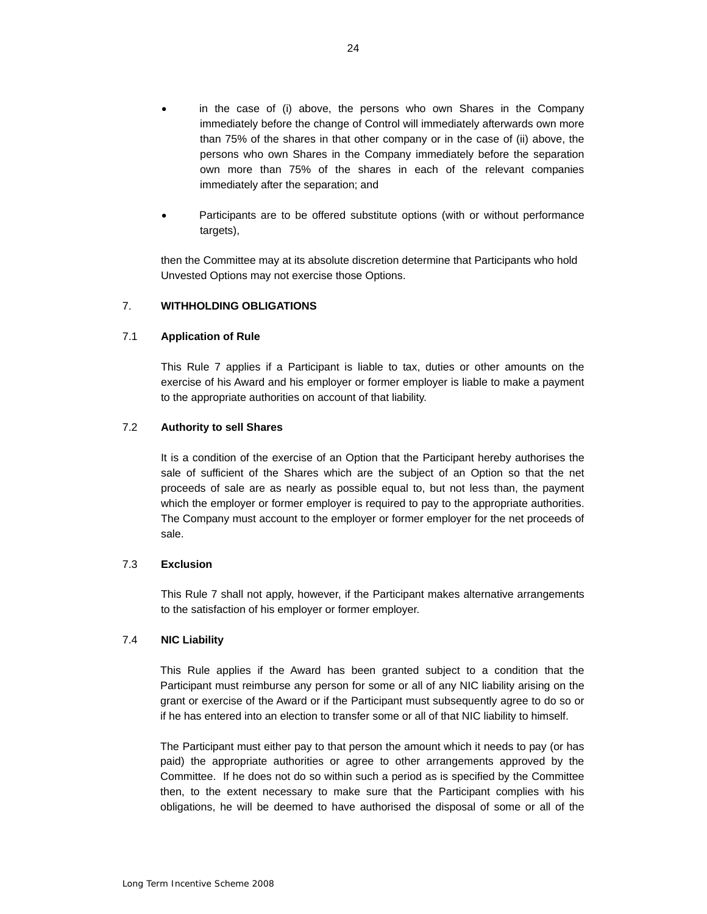- <span id="page-23-0"></span> than 75% of the shares in that other company or in the case of (ii) above, the persons who own Shares in the Company immediately before the separation own more than 75% of the shares in each of the relevant companies in the case of (i) above, the persons who own Shares in the Company immediately before the change of Control will immediately afterwards own more immediately after the separation; and
- • Participants are to be offered substitute options (with or without performance targets),

then the Committee may at its absolute discretion determine that Participants who hold Unvested Options may not exercise those Options.

### 7. **WITHHOLDING OBLIGATIONS**

### 7.1 **Application of Rule**

 exercise of his Award and his employer or former employer is liable to make a payment This Rule 7 applies if a Participant is liable to tax, duties or other amounts on the to the appropriate authorities on account of that liability.

### 7.2 **Authority to sell Shares**

 It is a condition of the exercise of an Option that the Participant hereby authorises the proceeds of sale are as nearly as possible equal to, but not less than, the payment which the employer or former employer is required to pay to the appropriate authorities. sale of sufficient of the Shares which are the subject of an Option so that the net The Company must account to the employer or former employer for the net proceeds of sale.

#### 7.3 **Exclusion**

 to the satisfaction of his employer or former employer. This Rule 7 shall not apply, however, if the Participant makes alternative arrangements

#### 7.4 **NIC Liability**

 grant or exercise of the Award or if the Participant must subsequently agree to do so or This Rule applies if the Award has been granted subject to a condition that the Participant must reimburse any person for some or all of any NIC liability arising on the if he has entered into an election to transfer some or all of that NIC liability to himself.

 Committee. If he does not do so within such a period as is specified by the Committee then, to the extent necessary to make sure that the Participant complies with his obligations, he will be deemed to have authorised the disposal of some or all of the The Participant must either pay to that person the amount which it needs to pay (or has paid) the appropriate authorities or agree to other arrangements approved by the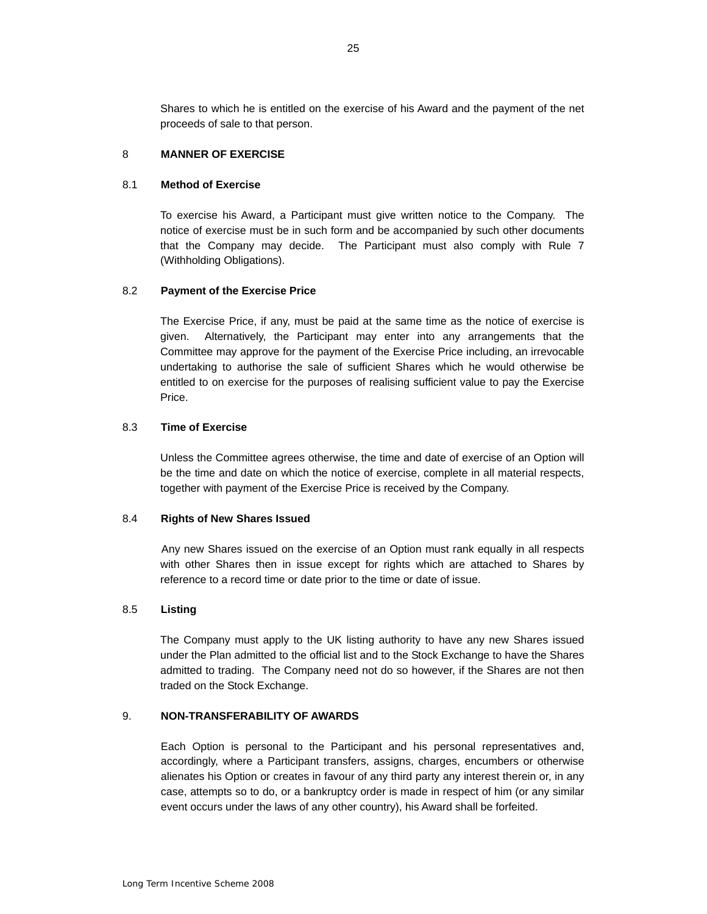<span id="page-24-0"></span> Shares to which he is entitled on the exercise of his Award and the payment of the net proceeds of sale to that person.

### 8 **MANNER OF EXERCISE**

## 8.1 **Method of Exercise**

 To exercise his Award, a Participant must give written notice to the Company. The notice of exercise must be in such form and be accompanied by such other documents that the Company may decide. The Participant must also comply with Rule 7 (Withholding Obligations).

#### 8.2 **Payment of the Exercise Price**

 The Exercise Price, if any, must be paid at the same time as the notice of exercise is undertaking to authorise the sale of sufficient Shares which he would otherwise be entitled to on exercise for the purposes of realising sufficient value to pay the Exercise given. Alternatively, the Participant may enter into any arrangements that the Committee may approve for the payment of the Exercise Price including, an irrevocable Price.

#### 8.3 **Time of Exercise**

 together with payment of the Exercise Price is received by the Company. Unless the Committee agrees otherwise, the time and date of exercise of an Option will be the time and date on which the notice of exercise, complete in all material respects,

#### 8.4 **Rights of New Shares Issued**

 Any new Shares issued on the exercise of an Option must rank equally in all respects with other Shares then in issue except for rights which are attached to Shares by reference to a record time or date prior to the time or date of issue.

#### 8.5 **Listing**

 under the Plan admitted to the official list and to the Stock Exchange to have the Shares admitted to trading. The Company need not do so however, if the Shares are not then The Company must apply to the UK listing authority to have any new Shares issued traded on the Stock Exchange.

### 9. **NON-TRANSFERABILITY OF AWARDS**

 accordingly, where a Participant transfers, assigns, charges, encumbers or otherwise case, attempts so to do, or a bankruptcy order is made in respect of him (or any similar Each Option is personal to the Participant and his personal representatives and, alienates his Option or creates in favour of any third party any interest therein or, in any event occurs under the laws of any other country), his Award shall be forfeited.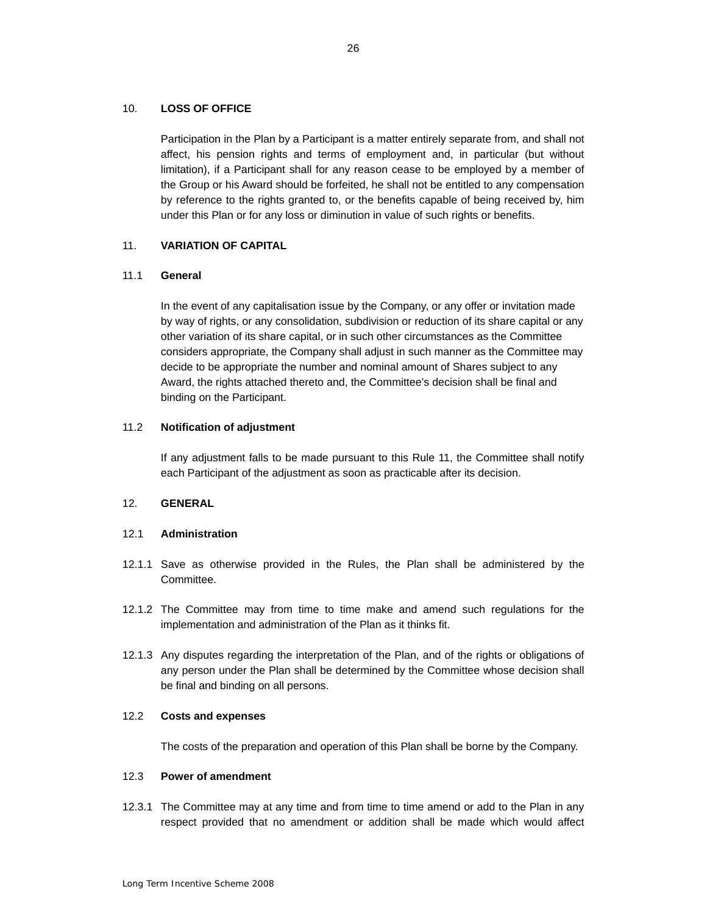### <span id="page-25-0"></span>10. **LOSS OF OFFICE**

 the Group or his Award should be forfeited, he shall not be entitled to any compensation Participation in the Plan by a Participant is a matter entirely separate from, and shall not affect, his pension rights and terms of employment and, in particular (but without limitation), if a Participant shall for any reason cease to be employed by a member of by reference to the rights granted to, or the benefits capable of being received by, him under this Plan or for any loss or diminution in value of such rights or benefits.

### 11. **VARIATION OF CAPITAL**

### 11.1 **General**

 In the event of any capitalisation issue by the Company, or any offer or invitation made by way of rights, or any consolidation, subdivision or reduction of its share capital or any considers appropriate, the Company shall adjust in such manner as the Committee may Award, the rights attached thereto and, the Committee's decision shall be final and other variation of its share capital, or in such other circumstances as the Committee decide to be appropriate the number and nominal amount of Shares subject to any binding on the Participant.

### 11.2 **Notification of adjustment**

 If any adjustment falls to be made pursuant to this Rule 11, the Committee shall notify each Participant of the adjustment as soon as practicable after its decision.

### 12. **GENERAL**

### 12.1 **Administration**

- 12.1.1 Save as otherwise provided in the Rules, the Plan shall be administered by the Committee.
- 12.1.2 The Committee may from time to time make and amend such regulations for the implementation and administration of the Plan as it thinks fit.
- 12.1.3 Any disputes regarding the interpretation of the Plan, and of the rights or obligations of any person under the Plan shall be determined by the Committee whose decision shall be final and binding on all persons.

### 12.2 **Costs and expenses**

The costs of the preparation and operation of this Plan shall be borne by the Company.

#### 12.3 **Power of amendment**

12.3.1 The Committee may at any time and from time to time amend or add to the Plan in any respect provided that no amendment or addition shall be made which would affect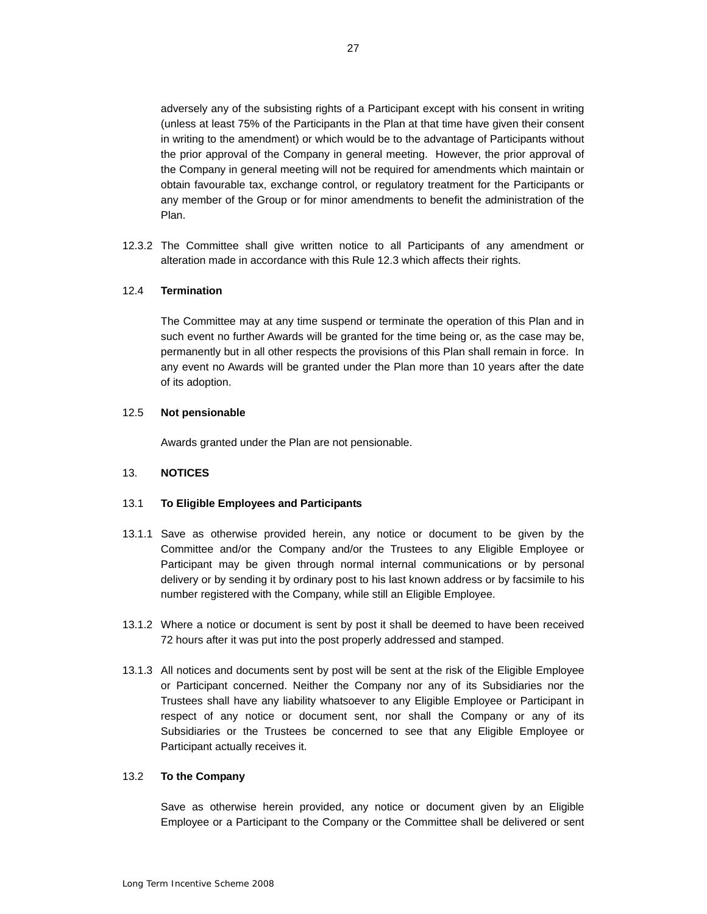(unless at least 75% of the Participants in the Plan at that time have given their consent in writing to the amendment) or which would be to the advantage of Participants without the Company in general meeting will not be required for amendments which maintain or obtain favourable tax, exchange control, or regulatory treatment for the Participants or any member of the Group or for minor amendments to benefit the administration of the adversely any of the subsisting rights of a Participant except with his consent in writing the prior approval of the Company in general meeting. However, the prior approval of Plan.

12.3.2 The Committee shall give written notice to all Participants of any amendment or alteration made in accordance with this Rule 12.3 which affects their rights.

#### 12.4 **Termination**

 The Committee may at any time suspend or terminate the operation of this Plan and in permanently but in all other respects the provisions of this Plan shall remain in force. In any event no Awards will be granted under the Plan more than 10 years after the date such event no further Awards will be granted for the time being or, as the case may be, of its adoption.

#### 12.5 **Not pensionable**

Awards granted under the Plan are not pensionable.

### 13. **NOTICES**

#### 13.1 **To Eligible Employees and Participants**

- 13.1.1 Save as otherwise provided herein, any notice or document to be given by the delivery or by sending it by ordinary post to his last known address or by facsimile to his Committee and/or the Company and/or the Trustees to any Eligible Employee or Participant may be given through normal internal communications or by personal number registered with the Company, while still an Eligible Employee.
- 13.1.2 Where a notice or document is sent by post it shall be deemed to have been received 72 hours after it was put into the post properly addressed and stamped.
- 13.1.3 All notices and documents sent by post will be sent at the risk of the Eligible Employee or Participant concerned. Neither the Company nor any of its Subsidiaries nor the respect of any notice or document sent, nor shall the Company or any of its Trustees shall have any liability whatsoever to any Eligible Employee or Participant in Subsidiaries or the Trustees be concerned to see that any Eligible Employee or Participant actually receives it.

#### 13.2 **To the Company**

 Employee or a Participant to the Company or the Committee shall be delivered or sent Save as otherwise herein provided, any notice or document given by an Eligible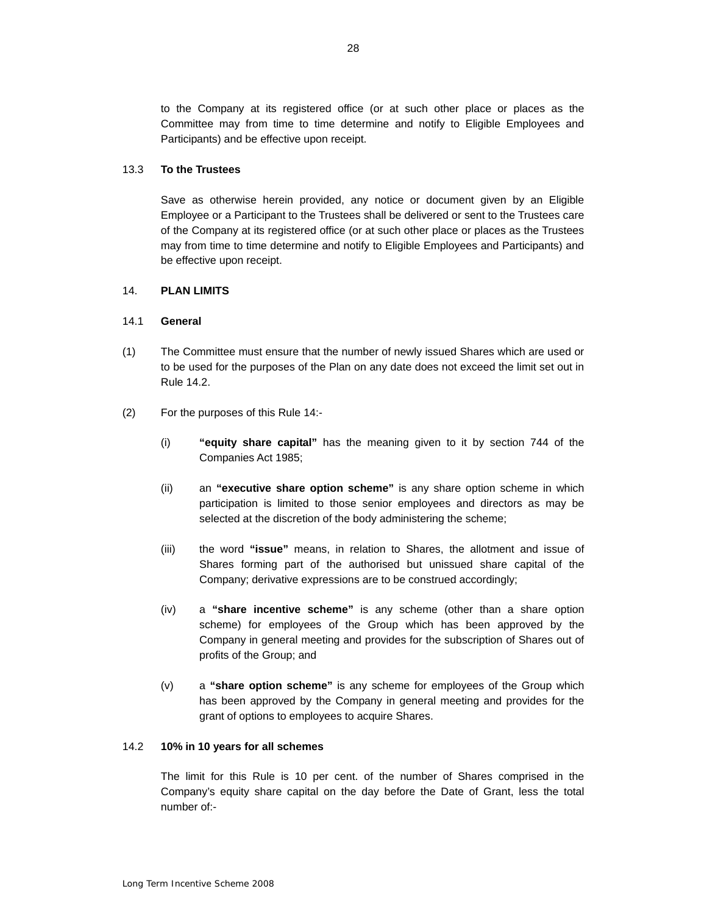to the Company at its registered office (or at such other place or places as the Committee may from time to time determine and notify to Eligible Employees and Participants) and be effective upon receipt.

### 13.3 **To the Trustees**

 Employee or a Participant to the Trustees shall be delivered or sent to the Trustees care of the Company at its registered office (or at such other place or places as the Trustees Save as otherwise herein provided, any notice or document given by an Eligible may from time to time determine and notify to Eligible Employees and Participants) and be effective upon receipt.

### 14. **PLAN LIMITS**

### 14.1 **General**

- (1) The Committee must ensure that the number of newly issued Shares which are used or to be used for the purposes of the Plan on any date does not exceed the limit set out in Rule 14.2.
- (2) For the purposes of this Rule 14:-
	- Companies Act 1985; (i) **"equity share capital"** has the meaning given to it by section 744 of the
	- (ii) an **"executive share option scheme"** is any share option scheme in which participation is limited to those senior employees and directors as may be selected at the discretion of the body administering the scheme;
	- (iii) the word **"issue"** means, in relation to Shares, the allotment and issue of Shares forming part of the authorised but unissued share capital of the Company; derivative expressions are to be construed accordingly;
	- (iv) a **"share incentive scheme"** is any scheme (other than a share option profits of the Group; and scheme) for employees of the Group which has been approved by the Company in general meeting and provides for the subscription of Shares out of
	- (v) a **"share option scheme"** is any scheme for employees of the Group which has been approved by the Company in general meeting and provides for the grant of options to employees to acquire Shares.

#### 14.2 **10% in 10 years for all schemes**

 The limit for this Rule is 10 per cent. of the number of Shares comprised in the Company's equity share capital on the day before the Date of Grant, less the total number of:-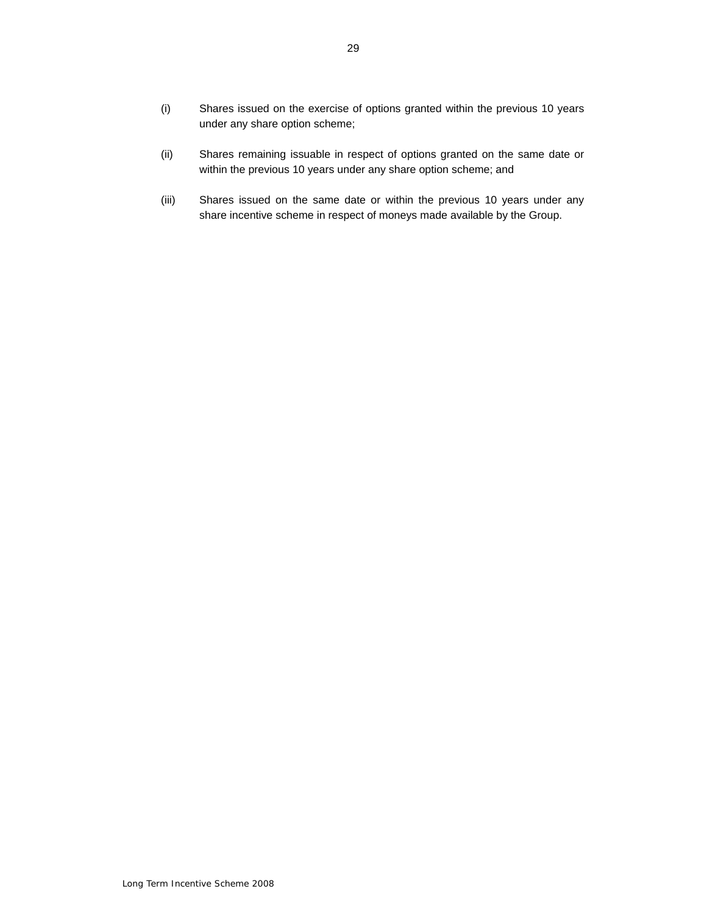- <span id="page-28-0"></span> (i) Shares issued on the exercise of options granted within the previous 10 years under any share option scheme;
- (ii) Shares remaining issuable in respect of options granted on the same date or within the previous 10 years under any share option scheme; and
- share incentive scheme in respect of moneys made available by the Group. (iii) Shares issued on the same date or within the previous 10 years under any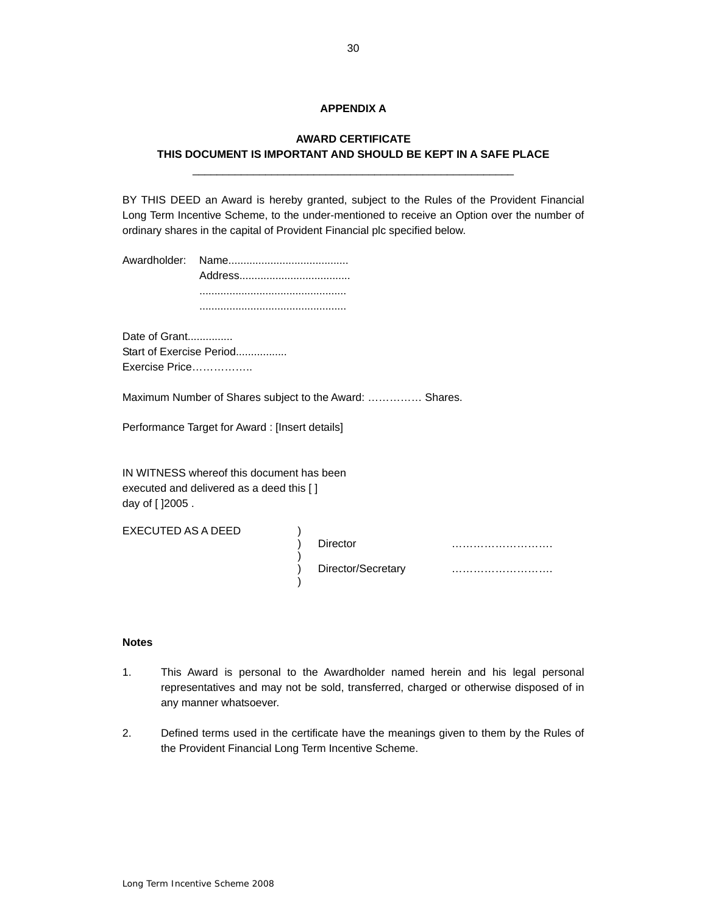### **APPENDIX A**

## <span id="page-29-0"></span>\_\_\_\_\_\_\_\_\_\_\_\_\_\_\_\_\_\_\_\_\_\_\_\_\_\_\_\_\_\_\_\_\_\_\_\_\_\_\_\_\_\_\_\_\_\_\_\_\_\_\_\_\_ **AWARD CERTIFICATE THIS DOCUMENT IS IMPORTANT AND SHOULD BE KEPT IN A SAFE PLACE**

 BY THIS DEED an Award is hereby granted, subject to the Rules of the Provident Financial Long Term Incentive Scheme, to the under-mentioned to receive an Option over the number of ordinary shares in the capital of Provident Financial plc specified below.

Date of Grant............... Start of Exercise Period................ Exercise Price……………..

Maximum Number of Shares subject to the Award: …………… Shares.

 $\left\langle \right\rangle$ 

Performance Target for Award : [Insert details]

 IN WITNESS whereof this document has been executed and delivered as a deed this [ ] day of [ ]2005 .

EXECUTED AS A DEED )

) Director ………………………. ) Director/Secretary ………………………. )

### **Notes**

- $1<sub>1</sub>$  representatives and may not be sold, transferred, charged or otherwise disposed of in This Award is personal to the Awardholder named herein and his legal personal any manner whatsoever.
- 2. Defined terms used in the certificate have the meanings given to them by the Rules of the Provident Financial Long Term Incentive Scheme.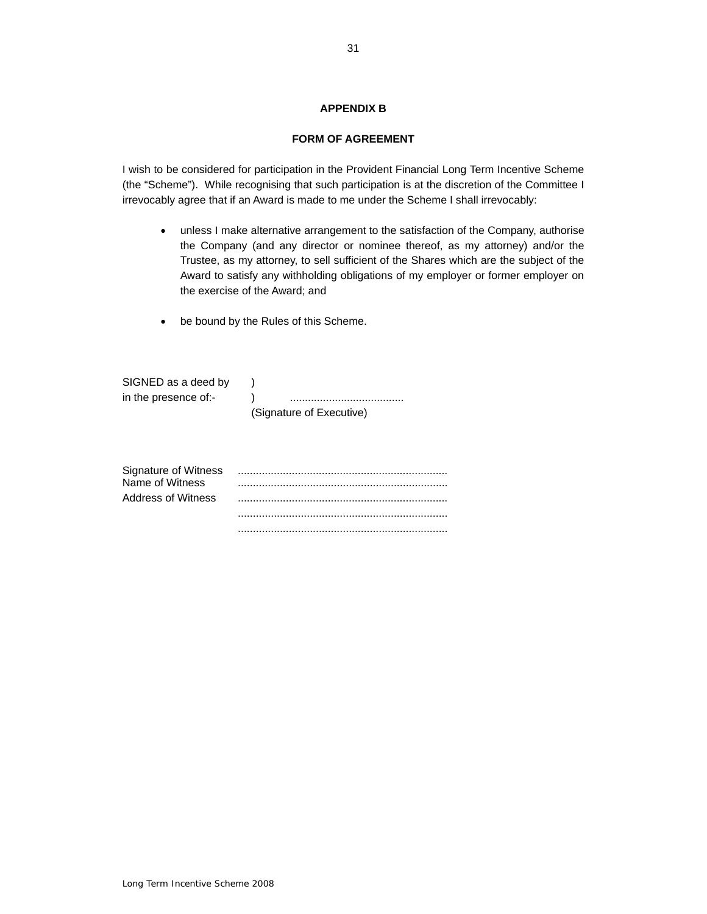### **APPENDIX B**

### **FORM OF AGREEMENT**

 (the "Scheme"). While recognising that such participation is at the discretion of the Committee I irrevocably agree that if an Award is made to me under the Scheme I shall irrevocably: I wish to be considered for participation in the Provident Financial Long Term Incentive Scheme

- $\bullet$ unless I make alternative arrangement to the satisfaction of the Company, authorise the Company (and any director or nominee thereof, as my attorney) and/or the Trustee, as my attorney, to sell sufficient of the Shares which are the subject of the Award to satisfy any withholding obligations of my employer or former employer on the exercise of the Award; and
- be bound by the Rules of this Scheme.

| SIGNED as a deed by  |                          |
|----------------------|--------------------------|
| in the presence of:- |                          |
|                      | (Signature of Executive) |

| Signature of Witness |  |
|----------------------|--|
| Name of Witness      |  |
| Address of Witness   |  |
|                      |  |
|                      |  |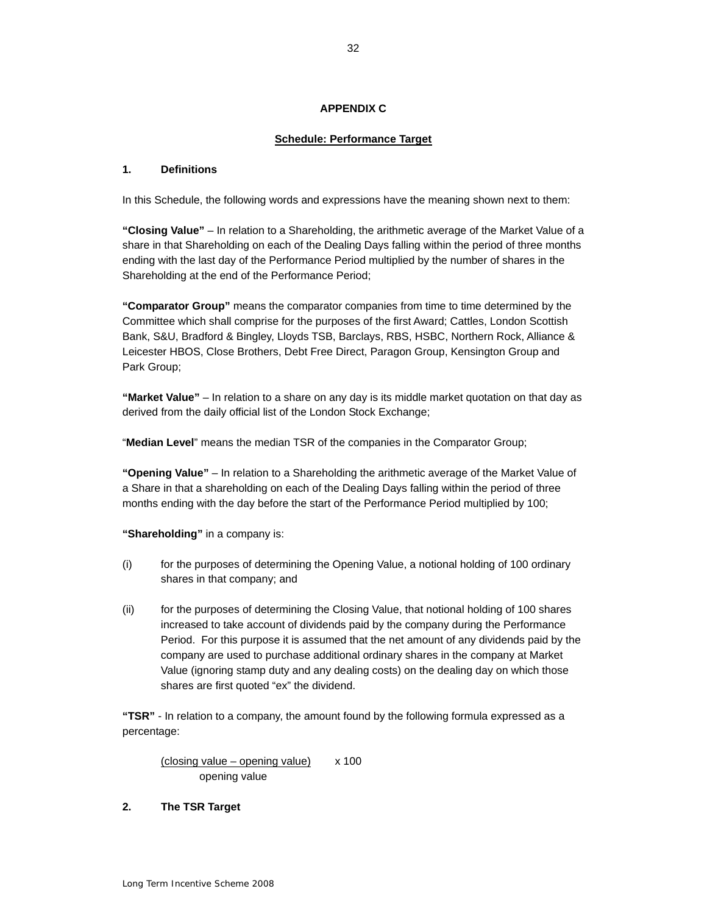## **APPENDIX C**

## **Schedule: Performance Target**

### **1. Definitions**

In this Schedule, the following words and expressions have the meaning shown next to them:

 **"Closing Value"** – In relation to a Shareholding, the arithmetic average of the Market Value of a share in that Shareholding on each of the Dealing Days falling within the period of three months Shareholding at the end of the Performance Period; ending with the last day of the Performance Period multiplied by the number of shares in the

 Committee which shall comprise for the purposes of the first Award; Cattles, London Scottish Leicester HBOS, Close Brothers, Debt Free Direct, Paragon Group, Kensington Group and **"Comparator Group"** means the comparator companies from time to time determined by the Bank, S&U, Bradford & Bingley, Lloyds TSB, Barclays, RBS, HSBC, Northern Rock, Alliance & Park Group;

 derived from the daily official list of the London Stock Exchange; **"Market Value"** – In relation to a share on any day is its middle market quotation on that day as

"**Median Level**" means the median TSR of the companies in the Comparator Group;

 **"Opening Value"** – In relation to a Shareholding the arithmetic average of the Market Value of a Share in that a shareholding on each of the Dealing Days falling within the period of three months ending with the day before the start of the Performance Period multiplied by 100;

**"Shareholding"** in a company is:

- (i) for the purposes of determining the Opening Value, a notional holding of 100 ordinary shares in that company; and
- company are used to purchase additional ordinary shares in the company at Market Value (ignoring stamp duty and any dealing costs) on the dealing day on which those (ii) for the purposes of determining the Closing Value, that notional holding of 100 shares increased to take account of dividends paid by the company during the Performance Period. For this purpose it is assumed that the net amount of any dividends paid by the shares are first quoted "ex" the dividend.

**"TSR"** - In relation to a company, the amount found by the following formula expressed as a percentage:

 $( closing value - opening value)$  x 100 opening value

### **2. The TSR Target**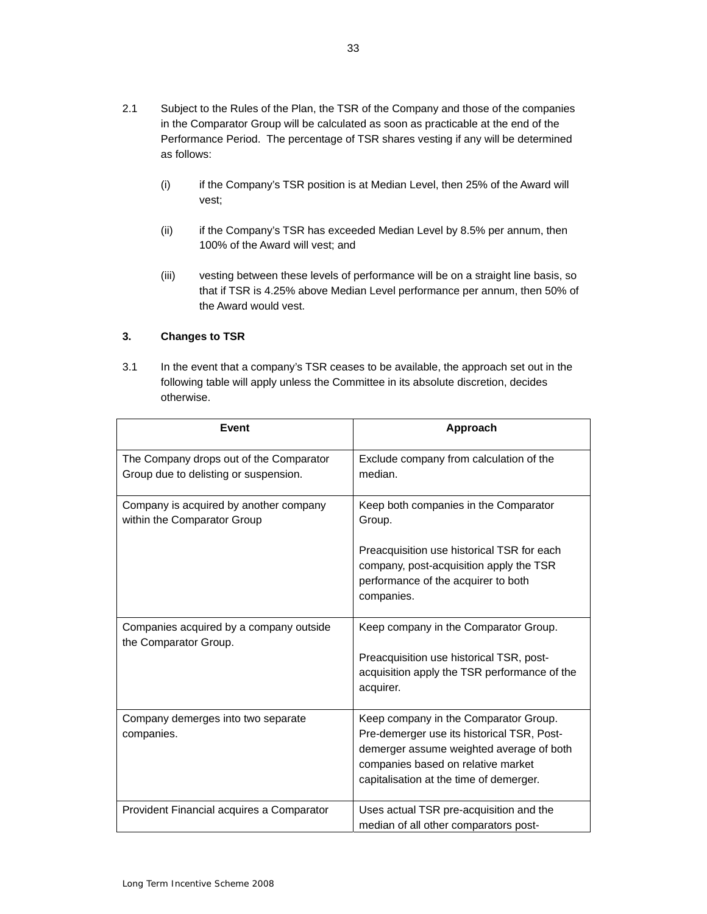- 2.1 Subject to the Rules of the Plan, the TSR of the Company and those of the companies in the Comparator Group will be calculated as soon as practicable at the end of the Performance Period. The percentage of TSR shares vesting if any will be determined as follows:
	- (i) if the Company's TSR position is at Median Level, then 25% of the Award will vest;
	- $(ii)$  100% of the Award will vest; and if the Company's TSR has exceeded Median Level by 8.5% per annum, then
	- (iii) vesting between these levels of performance will be on a straight line basis, so that if TSR is 4.25% above Median Level performance per annum, then 50% of the Award would vest.

## **3. Changes to TSR**

 3.1 In the event that a company's TSR ceases to be available, the approach set out in the following table will apply unless the Committee in its absolute discretion, decides otherwise.

| Event                                                                            | Approach                                                                                                                                                                                                         |
|----------------------------------------------------------------------------------|------------------------------------------------------------------------------------------------------------------------------------------------------------------------------------------------------------------|
| The Company drops out of the Comparator<br>Group due to delisting or suspension. | Exclude company from calculation of the<br>median.                                                                                                                                                               |
| Company is acquired by another company<br>within the Comparator Group            | Keep both companies in the Comparator<br>Group.<br>Preacquisition use historical TSR for each                                                                                                                    |
|                                                                                  | company, post-acquisition apply the TSR<br>performance of the acquirer to both<br>companies.                                                                                                                     |
| Companies acquired by a company outside<br>the Comparator Group.                 | Keep company in the Comparator Group.                                                                                                                                                                            |
|                                                                                  | Preacquisition use historical TSR, post-<br>acquisition apply the TSR performance of the<br>acquirer.                                                                                                            |
| Company demerges into two separate<br>companies.                                 | Keep company in the Comparator Group.<br>Pre-demerger use its historical TSR, Post-<br>demerger assume weighted average of both<br>companies based on relative market<br>capitalisation at the time of demerger. |
| Provident Financial acquires a Comparator                                        | Uses actual TSR pre-acquisition and the<br>median of all other comparators post-                                                                                                                                 |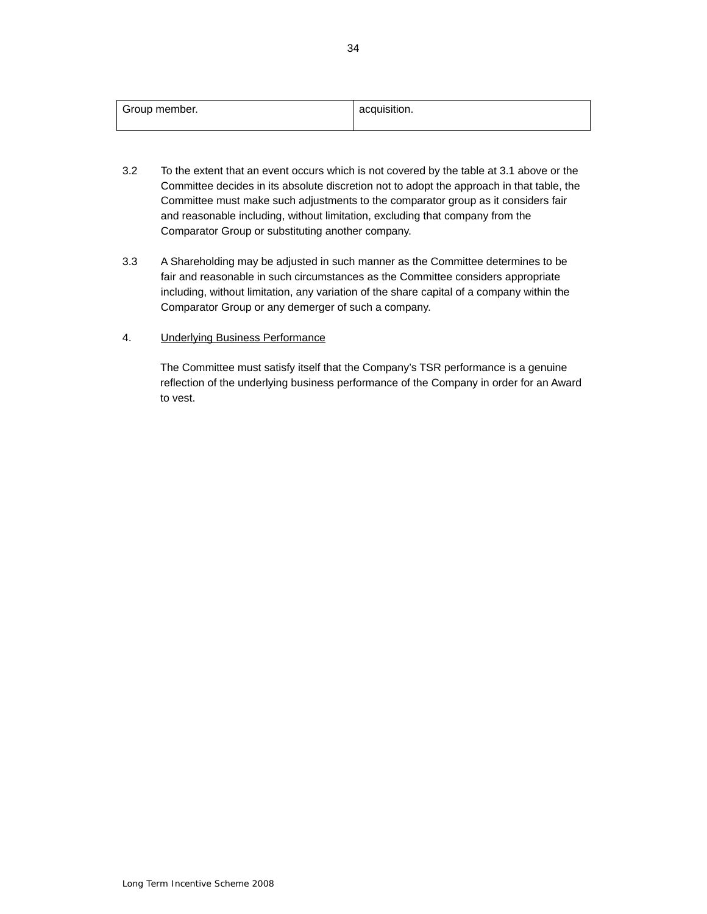| Group member. | acquisition. |
|---------------|--------------|
|               |              |

- Committee must make such adjustments to the comparator group as it considers fair and reasonable including, without limitation, excluding that company from the 3.2 To the extent that an event occurs which is not covered by the table at 3.1 above or the Committee decides in its absolute discretion not to adopt the approach in that table, the Comparator Group or substituting another company.
- 3.3 A Shareholding may be adjusted in such manner as the Committee determines to be fair and reasonable in such circumstances as the Committee considers appropriate including, without limitation, any variation of the share capital of a company within the Comparator Group or any demerger of such a company.

## 4. Underlying Business Performance

 reflection of the underlying business performance of the Company in order for an Award The Committee must satisfy itself that the Company's TSR performance is a genuine to vest.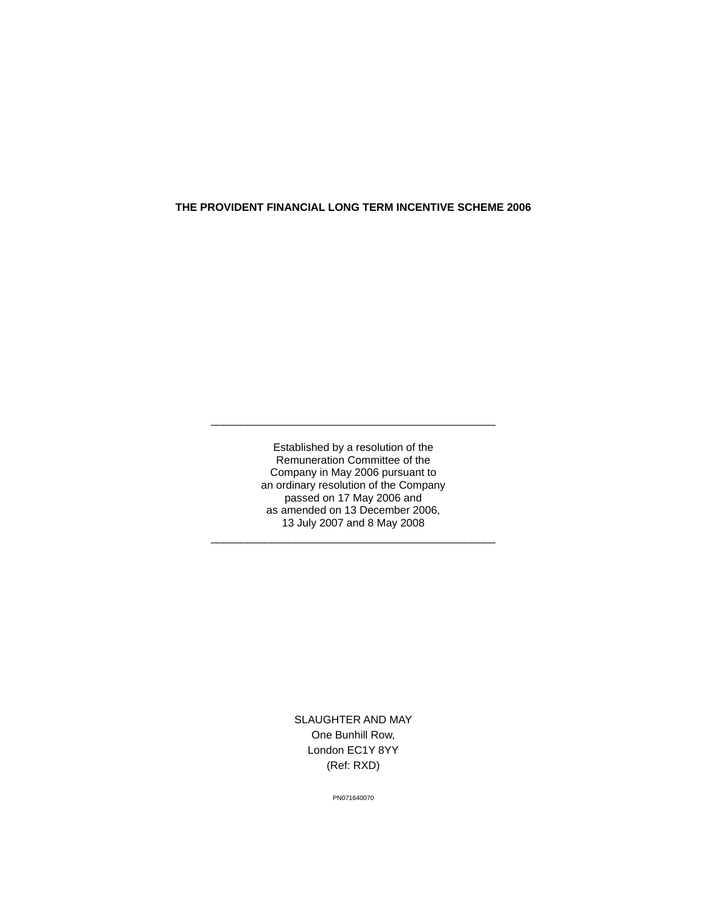#### **THE PROVIDENT FINANCIAL LONG TERM INCENTIVE SCHEME 2006**

 an ordinary resolution of the Company passed on 17 May 2006 and 13 July 2007 and 8 May 2008 Established by a resolution of the Remuneration Committee of the Company in May 2006 pursuant to as amended on 13 December 2006,

\_\_\_\_\_\_\_\_\_\_\_\_\_\_\_\_\_\_\_\_\_\_\_\_\_\_\_\_\_\_\_\_\_\_\_\_\_\_\_\_\_\_\_\_\_\_\_

\_\_\_\_\_\_\_\_\_\_\_\_\_\_\_\_\_\_\_\_\_\_\_\_\_\_\_\_\_\_\_\_\_\_\_\_\_\_\_\_\_\_\_\_\_\_\_

SLAUGHTER AND MAY One Bunhill Row, London EC1Y 8YY (Ref: RXD)

PN071640070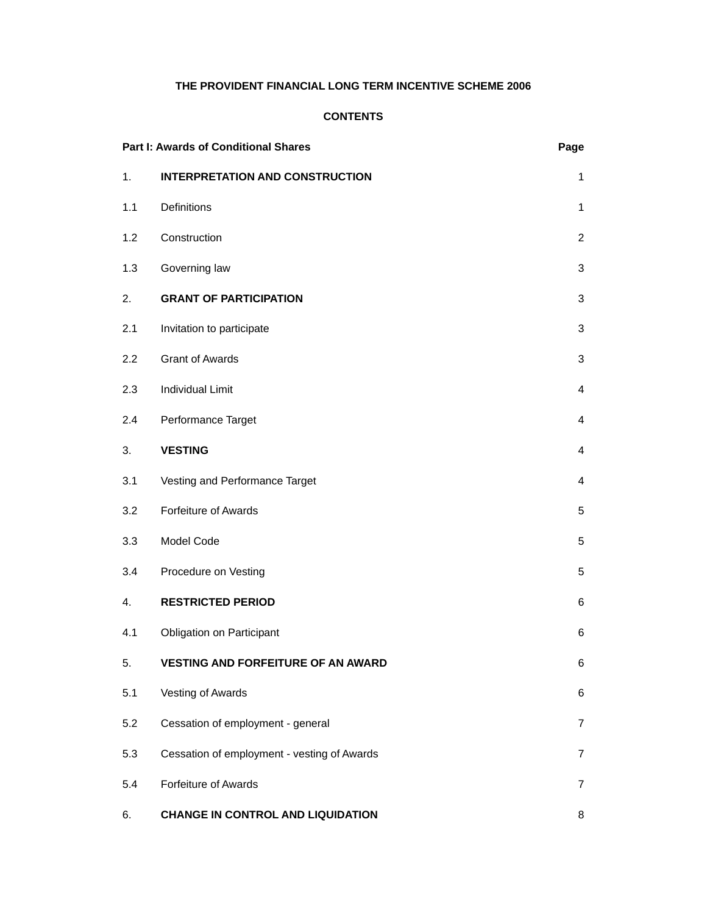## **THE PROVIDENT FINANCIAL LONG TERM INCENTIVE SCHEME 2006**

### **CONTENTS**

| <b>Part I: Awards of Conditional Shares</b> |                                             | Page           |
|---------------------------------------------|---------------------------------------------|----------------|
| 1.                                          | <b>INTERPRETATION AND CONSTRUCTION</b>      | 1              |
| 1.1                                         | Definitions                                 | 1              |
| 1.2                                         | Construction                                | $\overline{2}$ |
| 1.3                                         | Governing law                               | 3              |
| 2.                                          | <b>GRANT OF PARTICIPATION</b>               | 3              |
| 2.1                                         | Invitation to participate                   | 3              |
| 2.2                                         | <b>Grant of Awards</b>                      | 3              |
| 2.3                                         | <b>Individual Limit</b>                     | 4              |
| 2.4                                         | Performance Target                          | 4              |
| 3.                                          | <b>VESTING</b>                              | 4              |
| 3.1                                         | Vesting and Performance Target              | 4              |
| 3.2                                         | Forfeiture of Awards                        | 5              |
| 3.3                                         | Model Code                                  | 5              |
| 3.4                                         | Procedure on Vesting                        | 5              |
| 4.                                          | <b>RESTRICTED PERIOD</b>                    | 6              |
| 4.1                                         | Obligation on Participant                   | 6              |
| 5.                                          | <b>VESTING AND FORFEITURE OF AN AWARD</b>   | 6              |
| 5.1                                         | Vesting of Awards                           | 6              |
| 5.2                                         | Cessation of employment - general           | $\overline{7}$ |
| 5.3                                         | Cessation of employment - vesting of Awards | $\overline{7}$ |
| 5.4                                         | Forfeiture of Awards                        | $\overline{7}$ |
| 6.                                          | <b>CHANGE IN CONTROL AND LIQUIDATION</b>    | 8              |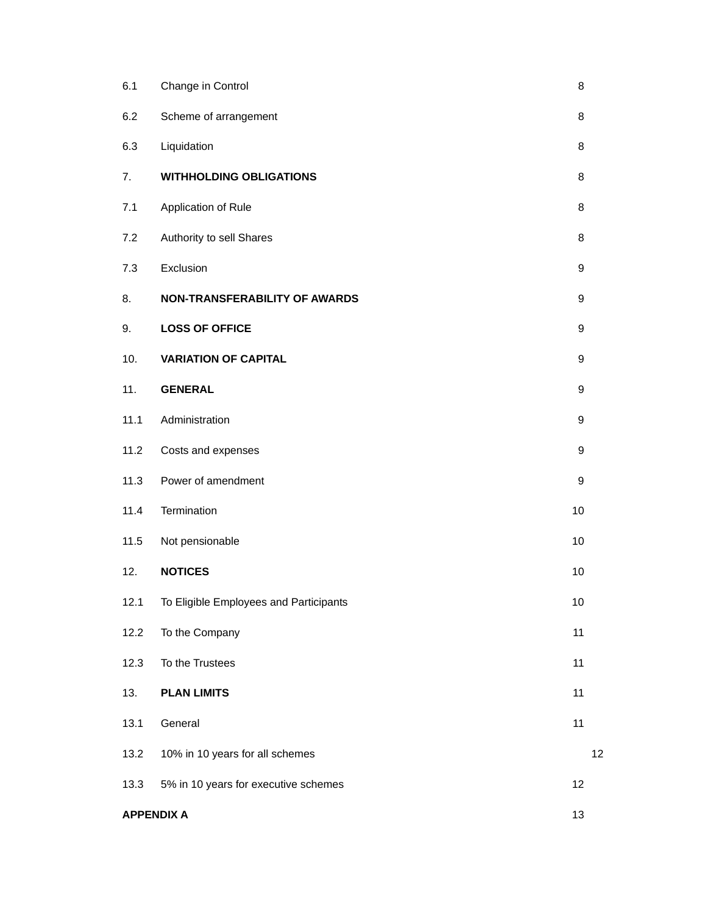| 6.1               | Change in Control                      | 8                |    |
|-------------------|----------------------------------------|------------------|----|
| 6.2               | Scheme of arrangement                  | 8                |    |
| 6.3               | Liquidation                            | 8                |    |
| 7.                | <b>WITHHOLDING OBLIGATIONS</b>         | 8                |    |
| 7.1               | Application of Rule                    | 8                |    |
| 7.2               | Authority to sell Shares               | 8                |    |
| 7.3               | Exclusion                              | 9                |    |
| 8.                | NON-TRANSFERABILITY OF AWARDS          | 9                |    |
| 9.                | <b>LOSS OF OFFICE</b>                  | 9                |    |
| 10.               | <b>VARIATION OF CAPITAL</b>            | 9                |    |
| 11.               | <b>GENERAL</b>                         | 9                |    |
| 11.1              | Administration                         | 9                |    |
| 11.2              | Costs and expenses                     | $\boldsymbol{9}$ |    |
| 11.3              | Power of amendment                     | 9                |    |
| 11.4              | Termination                            | 10               |    |
| 11.5              | Not pensionable                        | 10               |    |
| 12.               | <b>NOTICES</b>                         | 10               |    |
| 12.1              | To Eligible Employees and Participants | $10$             |    |
| 12.2              | To the Company                         | 11               |    |
| 12.3              | To the Trustees                        | 11               |    |
| 13.               | <b>PLAN LIMITS</b>                     | 11               |    |
| 13.1              | General                                | 11               |    |
| 13.2              | 10% in 10 years for all schemes        |                  | 12 |
| 13.3              | 5% in 10 years for executive schemes   | 12               |    |
| <b>APPENDIX A</b> |                                        | 13               |    |